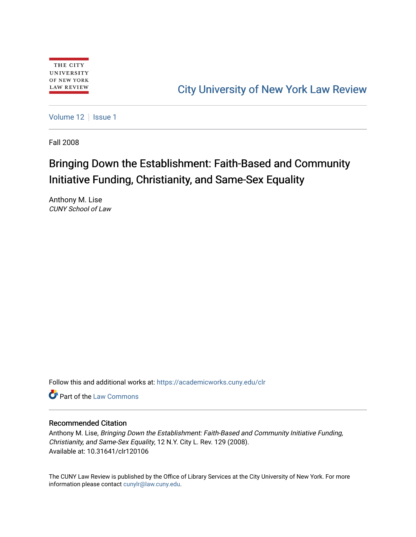# [City University of New York Law Review](https://academicworks.cuny.edu/clr)

[Volume 12](https://academicworks.cuny.edu/clr/vol12) | [Issue 1](https://academicworks.cuny.edu/clr/vol12/iss1)

Fall 2008

# Bringing Down the Establishment: Faith-Based and Community Initiative Funding, Christianity, and Same-Sex Equality

Anthony M. Lise CUNY School of Law

Follow this and additional works at: [https://academicworks.cuny.edu/clr](https://academicworks.cuny.edu/clr?utm_source=academicworks.cuny.edu%2Fclr%2Fvol12%2Fiss1%2F7&utm_medium=PDF&utm_campaign=PDFCoverPages) 

**C** Part of the [Law Commons](http://network.bepress.com/hgg/discipline/578?utm_source=academicworks.cuny.edu%2Fclr%2Fvol12%2Fiss1%2F7&utm_medium=PDF&utm_campaign=PDFCoverPages)

# Recommended Citation

Anthony M. Lise, Bringing Down the Establishment: Faith-Based and Community Initiative Funding, Christianity, and Same-Sex Equality, 12 N.Y. City L. Rev. 129 (2008). Available at: 10.31641/clr120106

The CUNY Law Review is published by the Office of Library Services at the City University of New York. For more information please contact [cunylr@law.cuny.edu](mailto:cunylr@law.cuny.edu).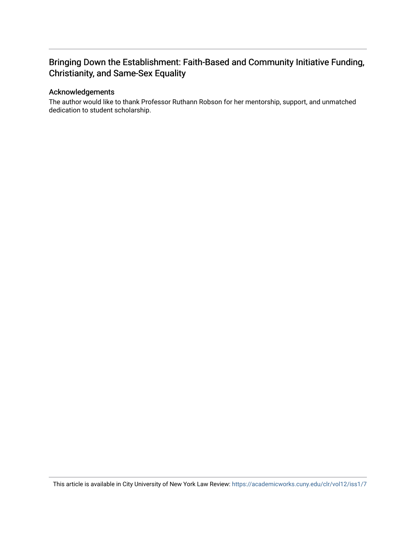# Bringing Down the Establishment: Faith-Based and Community Initiative Funding, Christianity, and Same-Sex Equality

# Acknowledgements

The author would like to thank Professor Ruthann Robson for her mentorship, support, and unmatched dedication to student scholarship.

This article is available in City University of New York Law Review: <https://academicworks.cuny.edu/clr/vol12/iss1/7>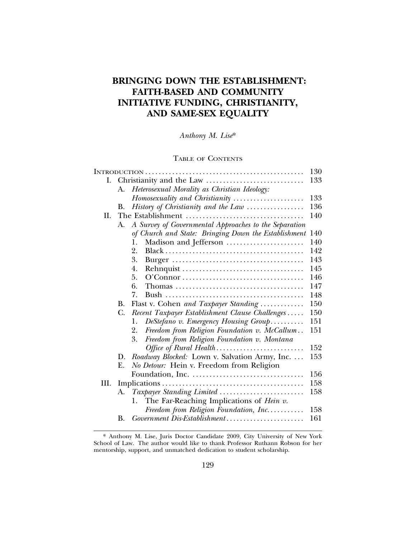# **BRINGING DOWN THE ESTABLISHMENT: FAITH-BASED AND COMMUNITY INITIATIVE FUNDING, CHRISTIANITY, AND SAME-SEX EQUALITY**

*Anthony M. Lise*\*

# TABLE OF CONTENTS

|      |    |                                                        | 130 |
|------|----|--------------------------------------------------------|-----|
| Ι.   |    |                                                        | 133 |
|      | A. | Heterosexual Morality as Christian Ideology:           |     |
|      |    | Homosexuality and Christianity                         | 133 |
|      | В. | History of Christianity and the Law                    | 136 |
| H.   |    |                                                        | 140 |
|      | A. | A Survey of Governmental Approaches to the Separation  |     |
|      |    | of Church and State: Bringing Down the Establishment   | 140 |
|      |    | Madison and Jefferson<br>1.                            | 140 |
|      |    | 2.                                                     | 142 |
|      |    | 3.                                                     | 143 |
|      |    | 4.                                                     | 145 |
|      |    | 5.                                                     | 146 |
|      |    | 6.                                                     | 147 |
|      |    | 7.                                                     | 148 |
|      | В. | Flast v. Cohen and Taxpayer Standing                   | 150 |
|      | C. | Recent Taxpayer Establishment Clause Challenges        | 150 |
|      |    | DeStefano v. Emergency Housing Group<br>1.             | 151 |
|      |    | Freedom from Religion Foundation v. McCallum<br>2.     | 151 |
|      |    | 3.<br>Freedom from Religion Foundation v. Montana      |     |
|      |    | Office of Rural Health                                 | 152 |
|      | D. | Roadway Blocked: Lown v. Salvation Army, Inc.          | 153 |
|      | Ε. | No Detour: Hein v. Freedom from Religion               |     |
|      |    |                                                        | 156 |
| III. |    |                                                        | 158 |
|      | А. | Taxpayer Standing Limited                              | 158 |
|      |    | The Far-Reaching Implications of <i>Hein v</i> .<br>1. |     |
|      |    | Freedom from Religion Foundation, Inc                  | 158 |
|      | В. | Government Dis-Establishment                           | 161 |
|      |    |                                                        |     |

<sup>\*</sup> Anthony M. Lise, Juris Doctor Candidate 2009, City University of New York School of Law. The author would like to thank Professor Ruthann Robson for her mentorship, support, and unmatched dedication to student scholarship.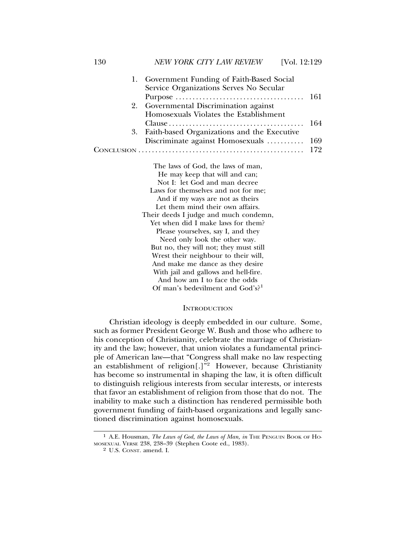| 1. | Government Funding of Faith-Based Social     |     |
|----|----------------------------------------------|-----|
|    | Service Organizations Serves No Secular      |     |
|    |                                              | 161 |
| 2. | Governmental Discrimination against          |     |
|    | Homosexuals Violates the Establishment       |     |
|    |                                              | 164 |
| 3. | Faith-based Organizations and the Executive  |     |
|    | Discriminate against Homosexuals             | 169 |
|    | CONCLUSION                                   | 172 |
|    | The laws of God, the laws of man,            |     |
|    | He may keep that will and can;               |     |
|    | Not I: let God and man decree                |     |
|    | Laws for themselves and not for me;          |     |
|    | And if my ways are not as theirs             |     |
|    | Let them mind their own affairs.             |     |
|    | Their deeds I judge and much condemn,        |     |
|    | Yet when did I make laws for them?           |     |
|    | Please yourselves, say I, and they           |     |
|    | Need only look the other way.                |     |
|    | But no, they will not; they must still       |     |
|    | Wrest their neighbour to their will,         |     |
|    | And make me dance as they desire             |     |
|    | With jail and gallows and hell-fire.         |     |
|    | And how am I to face the odds                |     |
|    | Of man's bedevilment and God's? <sup>1</sup> |     |

#### **INTRODUCTION**

Christian ideology is deeply embedded in our culture. Some, such as former President George W. Bush and those who adhere to his conception of Christianity, celebrate the marriage of Christianity and the law; however, that union violates a fundamental principle of American law—that "Congress shall make no law respecting an establishment of religion $[.]^{32}$  However, because Christianity has become so instrumental in shaping the law, it is often difficult to distinguish religious interests from secular interests, or interests that favor an establishment of religion from those that do not. The inability to make such a distinction has rendered permissible both government funding of faith-based organizations and legally sanctioned discrimination against homosexuals.

<sup>&</sup>lt;sup>1</sup> A.E. Housman, *The Laws of God, the Laws of Man, in* THE PENGUIN BOOK OF HO-MOSEXUAL VERSE 238, 238–39 (Stephen Coote ed., 1983).

<sup>2</sup> U.S. CONST. amend. I.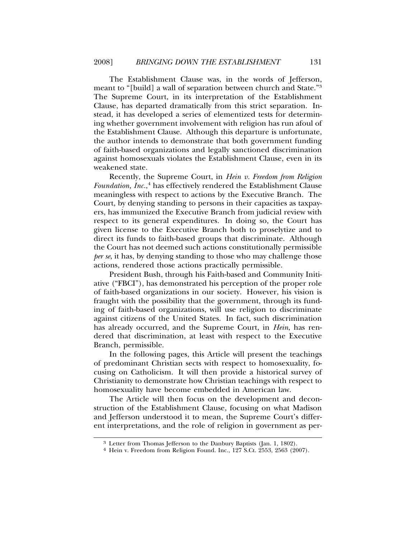The Establishment Clause was, in the words of Jefferson, meant to "[build] a wall of separation between church and State."3 The Supreme Court, in its interpretation of the Establishment Clause, has departed dramatically from this strict separation. Instead, it has developed a series of elementized tests for determining whether government involvement with religion has run afoul of the Establishment Clause. Although this departure is unfortunate, the author intends to demonstrate that both government funding of faith-based organizations and legally sanctioned discrimination against homosexuals violates the Establishment Clause, even in its weakened state.

Recently, the Supreme Court, in *Hein v. Freedom from Religion Foundation, Inc.*, 4 has effectively rendered the Establishment Clause meaningless with respect to actions by the Executive Branch. The Court, by denying standing to persons in their capacities as taxpayers, has immunized the Executive Branch from judicial review with respect to its general expenditures. In doing so, the Court has given license to the Executive Branch both to proselytize and to direct its funds to faith-based groups that discriminate. Although the Court has not deemed such actions constitutionally permissible *per se*, it has, by denying standing to those who may challenge those actions, rendered those actions practically permissible.

President Bush, through his Faith-based and Community Initiative ("FBCI"), has demonstrated his perception of the proper role of faith-based organizations in our society. However, his vision is fraught with the possibility that the government, through its funding of faith-based organizations, will use religion to discriminate against citizens of the United States. In fact, such discrimination has already occurred, and the Supreme Court, in *Hein*, has rendered that discrimination, at least with respect to the Executive Branch, permissible.

In the following pages, this Article will present the teachings of predominant Christian sects with respect to homosexuality, focusing on Catholicism. It will then provide a historical survey of Christianity to demonstrate how Christian teachings with respect to homosexuality have become embedded in American law.

The Article will then focus on the development and deconstruction of the Establishment Clause, focusing on what Madison and Jefferson understood it to mean, the Supreme Court's different interpretations, and the role of religion in government as per-

<sup>3</sup> Letter from Thomas Jefferson to the Danbury Baptists (Jan. 1, 1802). <sup>4</sup> Hein v. Freedom from Religion Found. Inc., 127 S.Ct. 2553, 2563 (2007).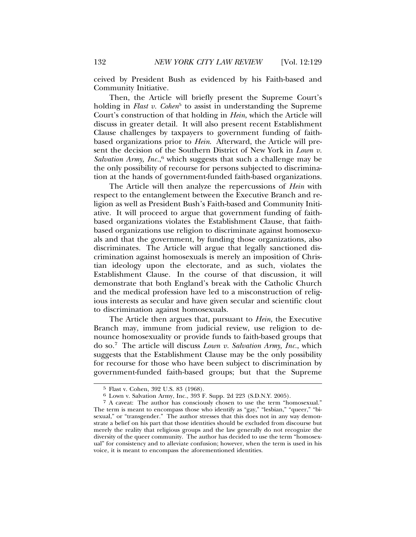ceived by President Bush as evidenced by his Faith-based and Community Initiative.

Then, the Article will briefly present the Supreme Court's holding in *Flast v. Cohen*<sup>5</sup> to assist in understanding the Supreme Court's construction of that holding in *Hein*, which the Article will discuss in greater detail. It will also present recent Establishment Clause challenges by taxpayers to government funding of faithbased organizations prior to *Hein*. Afterward, the Article will present the decision of the Southern District of New York in *Lown v.* Salvation Army, Inc.,<sup>6</sup> which suggests that such a challenge may be the only possibility of recourse for persons subjected to discrimination at the hands of government-funded faith-based organizations.

The Article will then analyze the repercussions of *Hein* with respect to the entanglement between the Executive Branch and religion as well as President Bush's Faith-based and Community Initiative. It will proceed to argue that government funding of faithbased organizations violates the Establishment Clause, that faithbased organizations use religion to discriminate against homosexuals and that the government, by funding those organizations, also discriminates. The Article will argue that legally sanctioned discrimination against homosexuals is merely an imposition of Christian ideology upon the electorate, and as such, violates the Establishment Clause. In the course of that discussion, it will demonstrate that both England's break with the Catholic Church and the medical profession have led to a misconstruction of religious interests as secular and have given secular and scientific clout to discrimination against homosexuals.

The Article then argues that, pursuant to *Hein*, the Executive Branch may, immune from judicial review, use religion to denounce homosexuality or provide funds to faith-based groups that do so.7 The article will discuss *Lown v. Salvation Army, Inc.*, which suggests that the Establishment Clause may be the only possibility for recourse for those who have been subject to discrimination by government-funded faith-based groups; but that the Supreme

<sup>5</sup> Flast v. Cohen, 392 U.S. 83 (1968). <sup>6</sup> Lown v. Salvation Army, Inc., 393 F. Supp. 2d 223 (S.D.N.Y. 2005).

<sup>7</sup> A caveat: The author has consciously chosen to use the term "homosexual." The term is meant to encompass those who identify as "gay," "lesbian," "queer," "bisexual," or "transgender." The author stresses that this does not in any way demonstrate a belief on his part that those identities should be excluded from discourse but merely the reality that religious groups and the law generally do not recognize the diversity of the queer community. The author has decided to use the term "homosexual" for consistency and to alleviate confusion; however, when the term is used in his voice, it is meant to encompass the aforementioned identities.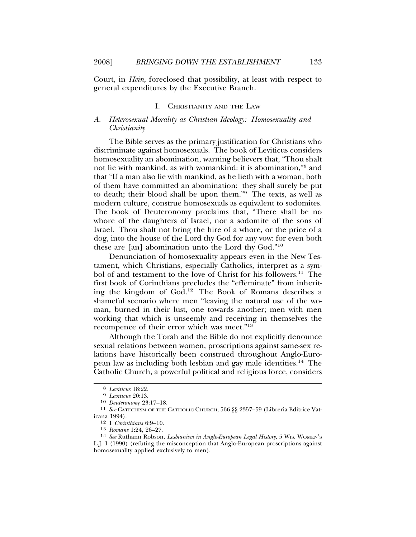Court, in *Hein*, foreclosed that possibility, at least with respect to general expenditures by the Executive Branch.

#### I. CHRISTIANITY AND THE LAW

# *A. Heterosexual Morality as Christian Ideology: Homosexuality and Christianity*

The Bible serves as the primary justification for Christians who discriminate against homosexuals. The book of Leviticus considers homosexuality an abomination, warning believers that, "Thou shalt not lie with mankind, as with womankind: it is abomination,"8 and that "If a man also lie with mankind, as he lieth with a woman, both of them have committed an abomination: they shall surely be put to death; their blood shall be upon them."9 The texts, as well as modern culture, construe homosexuals as equivalent to sodomites. The book of Deuteronomy proclaims that, "There shall be no whore of the daughters of Israel, nor a sodomite of the sons of Israel. Thou shalt not bring the hire of a whore, or the price of a dog, into the house of the Lord thy God for any vow: for even both these are [an] abomination unto the Lord thy God."<sup>10</sup>

Denunciation of homosexuality appears even in the New Testament, which Christians, especially Catholics, interpret as a symbol of and testament to the love of Christ for his followers.<sup>11</sup> The first book of Corinthians precludes the "effeminate" from inheriting the kingdom of God.12 The Book of Romans describes a shameful scenario where men "leaving the natural use of the woman, burned in their lust, one towards another; men with men working that which is unseemly and receiving in themselves the recompence of their error which was meet."13

Although the Torah and the Bible do not explicitly denounce sexual relations between women, proscriptions against same-sex relations have historically been construed throughout Anglo-European law as including both lesbian and gay male identities.14 The Catholic Church, a powerful political and religious force, considers

<sup>8</sup> *Leviticus* 18:22. <sup>9</sup> *Leviticus* 20:13.

<sup>&</sup>lt;sup>11</sup> See CATECHISM OF THE CATHOLIC CHURCH, 566 §§ 2357-59 (Libreria Editrice Vaticana 1994).

<sup>12</sup> 1 *Corinthians* 6:9–10.

<sup>&</sup>lt;sup>14</sup> See Ruthann Robson, *Lesbianism in Anglo-European Legal History*, 5 WIS. WOMEN's L.J. 1 (1990) (refuting the misconception that Anglo-European proscriptions against homosexuality applied exclusively to men).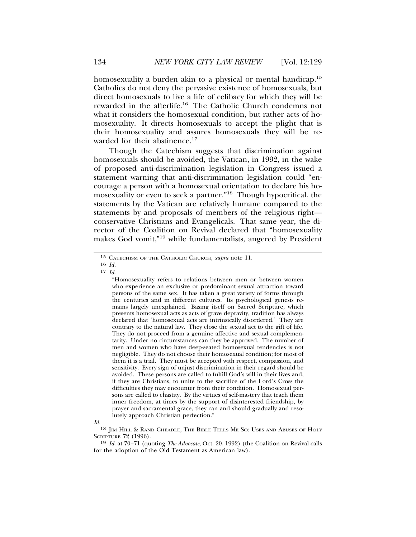homosexuality a burden akin to a physical or mental handicap.<sup>15</sup> Catholics do not deny the pervasive existence of homosexuals, but direct homosexuals to live a life of celibacy for which they will be rewarded in the afterlife.16 The Catholic Church condemns not what it considers the homosexual condition, but rather acts of homosexuality. It directs homosexuals to accept the plight that is their homosexuality and assures homosexuals they will be rewarded for their abstinence.<sup>17</sup>

Though the Catechism suggests that discrimination against homosexuals should be avoided, the Vatican, in 1992, in the wake of proposed anti-discrimination legislation in Congress issued a statement warning that anti-discrimination legislation could "encourage a person with a homosexual orientation to declare his homosexuality or even to seek a partner."18 Though hypocritical, the statements by the Vatican are relatively humane compared to the statements by and proposals of members of the religious right conservative Christians and Evangelicals. That same year, the director of the Coalition on Revival declared that "homosexuality makes God vomit,"19 while fundamentalists, angered by President

*Id.*

<sup>15</sup> CATECHISM OF THE CATHOLIC CHURCH, *supra* note 11.

<sup>16</sup> *Id.*

<sup>17</sup> *Id.*

<sup>&</sup>quot;Homosexuality refers to relations between men or between women who experience an exclusive or predominant sexual attraction toward persons of the same sex. It has taken a great variety of forms through the centuries and in different cultures. Its psychological genesis remains largely unexplained. Basing itself on Sacred Scripture, which presents homosexual acts as acts of grave depravity, tradition has always declared that 'homosexual acts are intrinsically disordered.' They are contrary to the natural law. They close the sexual act to the gift of life. They do not proceed from a genuine affective and sexual complementarity. Under no circumstances can they be approved. The number of men and women who have deep-seated homosexual tendencies is not negligible. They do not choose their homosexual condition; for most of them it is a trial. They must be accepted with respect, compassion, and sensitivity. Every sign of unjust discrimination in their regard should be avoided. These persons are called to fulfill God's will in their lives and, if they are Christians, to unite to the sacrifice of the Lord's Cross the difficulties they may encounter from their condition. Homosexual persons are called to chastity. By the virtues of self-mastery that teach them inner freedom, at times by the support of disinterested friendship, by prayer and sacramental grace, they can and should gradually and resolutely approach Christian perfection."

<sup>18</sup> JIM HILL & RAND CHEADLE, THE BIBLE TELLS ME SO: USES AND ABUSES OF HOLY SCRIPTURE 72 (1996).

<sup>19</sup> *Id.* at 70–71 (quoting *The Advocate*, Oct. 20, 1992) (the Coalition on Revival calls for the adoption of the Old Testament as American law).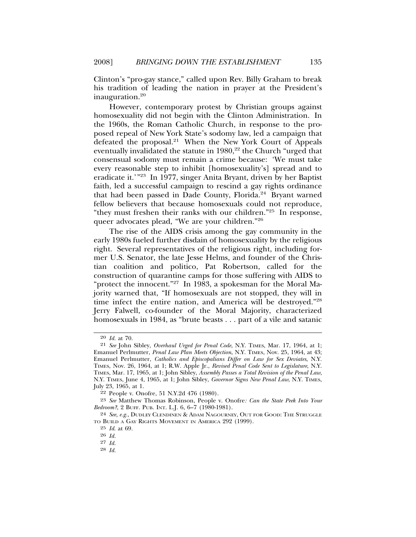Clinton's "pro-gay stance," called upon Rev. Billy Graham to break his tradition of leading the nation in prayer at the President's inauguration.20

However, contemporary protest by Christian groups against homosexuality did not begin with the Clinton Administration. In the 1960s, the Roman Catholic Church, in response to the proposed repeal of New York State's sodomy law, led a campaign that defeated the proposal.<sup>21</sup> When the New York Court of Appeals eventually invalidated the statute in 1980,<sup>22</sup> the Church "urged that consensual sodomy must remain a crime because: 'We must take every reasonable step to inhibit [homosexuality's] spread and to eradicate it.'"23 In 1977, singer Anita Bryant, driven by her Baptist faith, led a successful campaign to rescind a gay rights ordinance that had been passed in Dade County, Florida.<sup>24</sup> Bryant warned fellow believers that because homosexuals could not reproduce, "they must freshen their ranks with our children."25 In response, queer advocates plead, "We are your children."26

The rise of the AIDS crisis among the gay community in the early 1980s fueled further disdain of homosexuality by the religious right. Several representatives of the religious right, including former U.S. Senator, the late Jesse Helms, and founder of the Christian coalition and politico, Pat Robertson, called for the construction of quarantine camps for those suffering with AIDS to "protect the innocent."<sup>27</sup> In 1983, a spokesman for the Moral Majority warned that, "If homosexuals are not stopped, they will in time infect the entire nation, and America will be destroyed."28 Jerry Falwell, co-founder of the Moral Majority, characterized homosexuals in 1984, as "brute beasts . . . part of a vile and satanic

<sup>20</sup> *Id.* at 70.

<sup>21</sup> *See* John Sibley, *Overhaul Urged for Penal Code*, N.Y. TIMES, Mar. 17, 1964, at 1; Emanuel Perlmutter, *Penal Law Plan Meets Objection*, N.Y. TIMES, Nov. 25, 1964, at 43; Emanuel Perlmutter, *Catholics and Episcopalians Differ on Law for Sex Deviates*, N.Y. TIMES, Nov. 26, 1964, at 1; R.W. Apple Jr., *Revised Penal Code Sent to Legislature*, N.Y. TIMES, Mar. 17, 1965, at 1; John Sibley, *Assembly Passes a Total Revision of the Penal Law*, N.Y. TIMES, June 4, 1965, at 1; John Sibley, *Governor Signs New Penal Law*, N.Y. TIMES, July 23, 1965, at 1.

<sup>22</sup> People v. Onofre, 51 N.Y.2d 476 (1980).

<sup>23</sup> *See* Matthew Thomas Robinson, People v. Onofre*: Can the State Peek Into Your Bedroom?*, 2 BUFF. PUB. INT. L.J. 6, 6–7 (1980-1981).

<sup>24</sup> *See, e.g.*, DUDLEY CLENDINEN & ADAM NAGOURNEY, OUT FOR GOOD: THE STRUGGLE TO BUILD A GAY RIGHTS MOVEMENT IN AMERICA 292 (1999).

<sup>25</sup> *Id*. at 69.

<sup>26</sup> *Id.*

<sup>27</sup> *Id.*

<sup>28</sup> *Id.*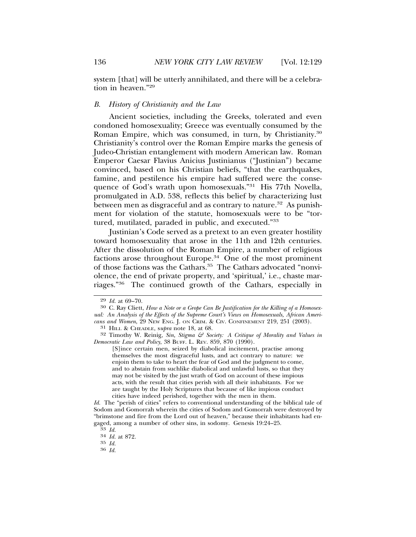system [that] will be utterly annihilated, and there will be a celebration in heaven."29

# *B. History of Christianity and the Law*

Ancient societies, including the Greeks, tolerated and even condoned homosexuality; Greece was eventually consumed by the Roman Empire, which was consumed, in turn, by Christianity.<sup>30</sup> Christianity's control over the Roman Empire marks the genesis of Judeo-Christian entanglement with modern American law. Roman Emperor Caesar Flavius Anicius Justinianus ("Justinian") became convinced, based on his Christian beliefs, "that the earthquakes, famine, and pestilence his empire had suffered were the consequence of God's wrath upon homosexuals."31 His 77th Novella, promulgated in A.D. 538, reflects this belief by characterizing lust between men as disgraceful and as contrary to nature.<sup>32</sup> As punishment for violation of the statute, homosexuals were to be "tortured, mutilated, paraded in public, and executed."33

Justinian's Code served as a pretext to an even greater hostility toward homosexuality that arose in the 11th and 12th centuries. After the dissolution of the Roman Empire, a number of religious factions arose throughout Europe.<sup>34</sup> One of the most prominent of those factions was the Cathars.<sup>35</sup> The Cathars advocated "nonviolence, the end of private property, and 'spiritual,' i.e., chaste marriages."36 The continued growth of the Cathars, especially in

*Id.* The "perish of cities" refers to conventional understanding of the biblical tale of Sodom and Gomorrah wherein the cities of Sodom and Gomorrah were destroyed by "brimstone and fire from the Lord out of heaven," because their inhabitants had engaged, among a number of other sins, in sodomy. Genesis 19:24–25. <sup>33</sup> *Id.* <sup>34</sup> *Id.* at 872.

<sup>&</sup>lt;sup>29</sup> *Id.* at 69–70.<br><sup>30</sup> C. Ray Cliett, *How a Note or a Grope Can Be Justification for the Killing of a Homosexual: An Analysis of the Effects of the Supreme Court's Views on Homosexuals, African Americans and Women*, 29 NEW ENG. J. ON CRIM. & CIV. CONFINEMENT 219, 251 (2003).

<sup>31</sup> HILL & CHEADLE, s*upra* note 18, at 68.

<sup>32</sup> Timothy W. Reinig, *Sin, Stigma & Society: A Critique of Morality and Values in Democratic Law and Policy*, 38 BUFF. L. REV. 859, 870 (1990).

<sup>[</sup>S]ince certain men, seized by diabolical incitement, practise among themselves the most disgraceful lusts, and act contrary to nature: we enjoin them to take to heart the fear of God and the judgment to come, and to abstain from suchlike diabolical and unlawful lusts, so that they may not be visited by the just wrath of God on account of these impious acts, with the result that cities perish with all their inhabitants. For we are taught by the Holy Scriptures that because of like impious conduct cities have indeed perished, together with the men in them.

<sup>35</sup> *Id.* <sup>36</sup> *Id.*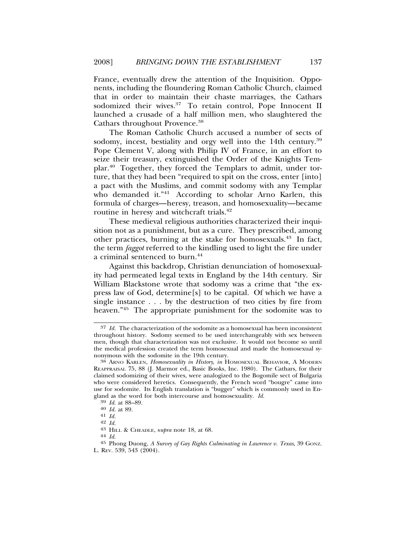France, eventually drew the attention of the Inquisition. Opponents, including the floundering Roman Catholic Church, claimed that in order to maintain their chaste marriages, the Cathars sodomized their wives.<sup>37</sup> To retain control, Pope Innocent II launched a crusade of a half million men, who slaughtered the Cathars throughout Provence.<sup>38</sup>

The Roman Catholic Church accused a number of sects of sodomy, incest, bestiality and orgy well into the 14th century.<sup>39</sup> Pope Clement V, along with Philip IV of France, in an effort to seize their treasury, extinguished the Order of the Knights Templar.40 Together, they forced the Templars to admit, under torture, that they had been "required to spit on the cross, enter [into] a pact with the Muslims, and commit sodomy with any Templar who demanded it."<sup>41</sup> According to scholar Arno Karlen, this formula of charges—heresy, treason, and homosexuality—became routine in heresy and witchcraft trials.<sup>42</sup>

These medieval religious authorities characterized their inquisition not as a punishment, but as a cure. They prescribed, among other practices, burning at the stake for homosexuals.<sup>43</sup> In fact, the term *faggot* referred to the kindling used to light the fire under a criminal sentenced to burn.<sup>44</sup>

Against this backdrop, Christian denunciation of homosexuality had permeated legal texts in England by the 14th century. Sir William Blackstone wrote that sodomy was a crime that "the express law of God, determine[s] to be capital. Of which we have a single instance . . . by the destruction of two cities by fire from heaven."<sup>45</sup> The appropriate punishment for the sodomite was to

<sup>37</sup> *Id.* The characterization of the sodomite as a homosexual has been inconsistent throughout history. Sodomy seemed to be used interchangeably with sex between men, though that characterization was not exclusive. It would not become so until the medical profession created the term homosexual and made the homosexual synonymous with the sodomite in the 19th century.<br><sup>38</sup> ARNO KARLEN, *Homosexuality in History*, *in* HOMOSEXUAL BEHAVIOR, A MODERN

REAPPRAISAL 75, 88 (J. Marmor ed., Basic Books, Inc. 1980). The Cathars, for their claimed sodomizing of their wives, were analogized to the Bogomile sect of Bulgaria who were considered heretics. Consequently, the French word "bougre" came into use for sodomite. Its English translation is "bugger" which is commonly used in England as the word for both intercourse and homosexuality. *Id.*  $\frac{39}{41}$  *Id.* at 89.  $\frac{40}{41}$  *Id.*  $\frac{42}{41}$  *Id.* 

<sup>42</sup> *Id.* <sup>43</sup> HILL & CHEADLE, s*upra* note 18, at 68. <sup>44</sup> *Id.*

<sup>45</sup> Phong Duong, *A Survey of Gay Rights Culminating in Lawrence v. Texas*, 39 GONZ.

L. REV. 539, 543 (2004).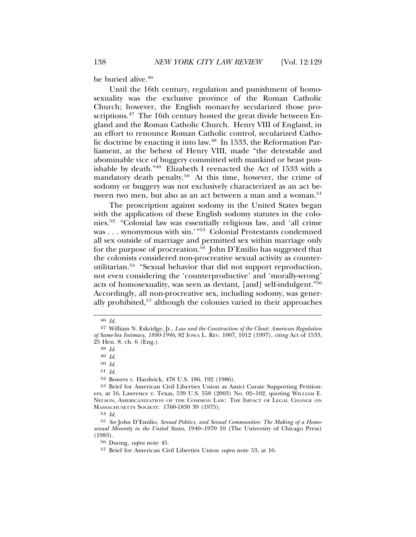be buried alive.<sup>46</sup>

Until the 16th century, regulation and punishment of homosexuality was the exclusive province of the Roman Catholic Church; however, the English monarchy secularized those proscriptions.<sup>47</sup> The 16th century hosted the great divide between England and the Roman Catholic Church. Henry VIII of England, in an effort to renounce Roman Catholic control, secularized Catholic doctrine by enacting it into law.<sup>48</sup> In 1533, the Reformation Parliament, at the behest of Henry VIII, made "the detestable and abominable vice of buggery committed with mankind or beast punishable by death."49 Elizabeth I reenacted the Act of 1533 with a mandatory death penalty.<sup>50</sup> At this time, however, the crime of sodomy or buggery was not exclusively characterized as an act between two men, but also as an act between a man and a woman.<sup>51</sup>

The proscription against sodomy in the United States began with the application of these English sodomy statutes in the colonies.52 "Colonial law was essentially religious law, and 'all crime was . . . synonymous with sin.'"<sup>53</sup> Colonial Protestants condemned all sex outside of marriage and permitted sex within marriage only for the purpose of procreation.<sup>54</sup> John D'Emilio has suggested that the colonists considered non-procreative sexual activity as counterutilitarian.55 "Sexual behavior that did not support reproduction, not even considering the 'counterproductive' and 'morally-wrong' acts of homosexuality, was seen as deviant, [and] self-indulgent."56 Accordingly, all non-procreative sex, including sodomy, was generally prohibited,57 although the colonies varied in their approaches

49 *Id.*

50 *Id.*

51 *Id.*

52 Bowers v. Hardwick, 478 U.S. 186, 192 (1986).

54 *Id.*

<sup>46</sup> *Id.*

<sup>47</sup> William N. Eskridge, Jr., *Law and the Construction of the Closet: American Regulation of Same-Sex Intimacy, 1880-1946*, 82 IOWA L. REV. 1007, 1012 (1997), *citing* Act of 1533, 25 Hen. 8, ch. 6 (Eng.).

<sup>48</sup> *Id.*

<sup>53</sup> Brief for American Civil Liberties Union as Amici Curaie Supporting Petitioners, at 16, Lawrence v. Texas, 539 U.S. 558 (2003) No. 02–102, quoting WILLIAM E. NELSON, AMERICANIZATION OF THE COMMON LAW: THE IMPACT OF LEGAL CHANGE ON MASSACHUSETTS SOCIETY: 1760-1830 39 (1975).

<sup>55</sup> *See* John D'Emilio, *Sexual Politics, and Sexual Communities: The Making of a Homosexual Minority in the United States*, 1940–1970 10 (The University of Chicago Press) (1983).

<sup>56</sup> Duong, *supra* note 45.

<sup>57</sup> Brief for American Civil Liberties Union *supra* note 53, at 16.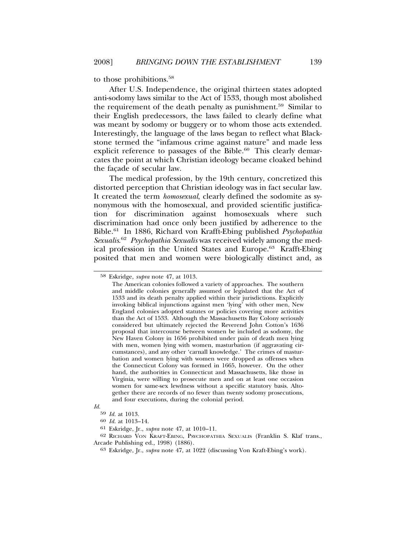to those prohibitions.58

After U.S. Independence, the original thirteen states adopted anti-sodomy laws similar to the Act of 1533, though most abolished the requirement of the death penalty as punishment.59 Similar to their English predecessors, the laws failed to clearly define what was meant by sodomy or buggery or to whom those acts extended. Interestingly, the language of the laws began to reflect what Blackstone termed the "infamous crime against nature" and made less explicit reference to passages of the Bible. $60$  This clearly demarcates the point at which Christian ideology became cloaked behind the facade of secular law.

The medical profession, by the 19th century, concretized this distorted perception that Christian ideology was in fact secular law. It created the term *homosexual*, clearly defined the sodomite as synonymous with the homosexual, and provided scientific justification for discrimination against homosexuals where such discrimination had once only been justified by adherence to the Bible.61 In 1886, Richard von Krafft-Ebing published *Psychopathia Sexualis*. <sup>62</sup> *Psychopathia Sexualis* was received widely among the medical profession in the United States and Europe.<sup>63</sup> Krafft-Ebing posited that men and women were biologically distinct and, as

<sup>58</sup> Eskridge, *supra* note 47, at 1013.

The American colonies followed a variety of approaches. The southern and middle colonies generally assumed or legislated that the Act of 1533 and its death penalty applied within their jurisdictions. Explicitly invoking biblical injunctions against men 'lying' with other men, New England colonies adopted statutes or policies covering more activities than the Act of 1533. Although the Massachusetts Bay Colony seriously considered but ultimately rejected the Reverend John Cotton's 1636 proposal that intercourse between women be included as sodomy, the New Haven Colony in 1656 prohibited under pain of death men lying with men, women lying with women, masturbation (if aggravating circumstances), and any other 'carnall knowledge.' The crimes of masturbation and women lying with women were dropped as offenses when the Connecticut Colony was formed in 1665, however. On the other hand, the authorities in Connecticut and Massachusetts, like those in Virginia, were willing to prosecute men and on at least one occasion women for same-sex lewdness without a specific statutory basis. Altogether there are records of no fewer than twenty sodomy prosecutions, and four executions, during the colonial period.

*Id.*

<sup>59</sup> *Id.* at 1013.

<sup>60</sup> *Id.* at 1013–14.

<sup>61</sup> Eskridge, Jr., *supra* note 47, at 1010–11.

<sup>62</sup> RICHARD VON KRAFT-EBING, PSYCHOPATHIA SEXUALIS (Franklin S. Klaf trans., Arcade Publishing ed., 1998) (1886).

<sup>63</sup> Eskridge, Jr., *supra* note 47, at 1022 (discussing Von Kraft-Ebing's work).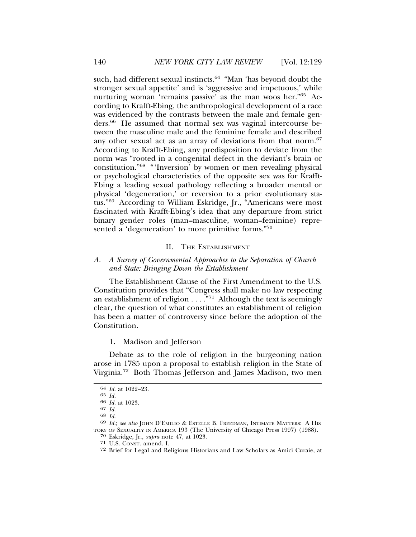such, had different sexual instincts.<sup>64</sup> "Man 'has beyond doubt the stronger sexual appetite' and is 'aggressive and impetuous,' while nurturing woman 'remains passive' as the man woos her."65 According to Krafft-Ebing, the anthropological development of a race was evidenced by the contrasts between the male and female genders.66 He assumed that normal sex was vaginal intercourse between the masculine male and the feminine female and described any other sexual act as an array of deviations from that norm.<sup>67</sup> According to Krafft-Ebing, any predisposition to deviate from the norm was "rooted in a congenital defect in the deviant's brain or constitution."68 "'Inversion' by women or men revealing physical or psychological characteristics of the opposite sex was for Krafft-Ebing a leading sexual pathology reflecting a broader mental or physical 'degeneration,' or reversion to a prior evolutionary status."69 According to William Eskridge, Jr., "Americans were most fascinated with Krafft-Ebing's idea that any departure from strict binary gender roles (man=masculine, woman=feminine) represented a 'degeneration' to more primitive forms."70

### II. THE ESTABLISHMENT

# *A. A Survey of Governmental Approaches to the Separation of Church and State: Bringing Down the Establishment*

The Establishment Clause of the First Amendment to the U.S. Constitution provides that "Congress shall make no law respecting an establishment of religion  $\dots$ .  $\cdot$ <sup>71</sup> Although the text is seemingly clear, the question of what constitutes an establishment of religion has been a matter of controversy since before the adoption of the Constitution.

1. Madison and Jefferson

Debate as to the role of religion in the burgeoning nation arose in 1785 upon a proposal to establish religion in the State of Virginia.72 Both Thomas Jefferson and James Madison, two men

<sup>64</sup> *Id.* at 1022–23.

<sup>65</sup> *Id.* <sup>66</sup> *Id.* at 1023.

<sup>67</sup> *Id.* <sup>68</sup> *Id.* <sup>69</sup> *Id.*; *see also* JOHN D'EMILIO & ESTELLE B. FREEDMAN, INTIMATE MATTERS: A HIS-TORY OF SEXUALITY IN AMERICA 193 (The University of Chicago Press 1997) (1988).

<sup>70</sup> Eskridge, Jr., *supra* note 47, at 1023.

<sup>71</sup> U.S. CONST. amend. I.

<sup>72</sup> Brief for Legal and Religious Historians and Law Scholars as Amici Curaie, at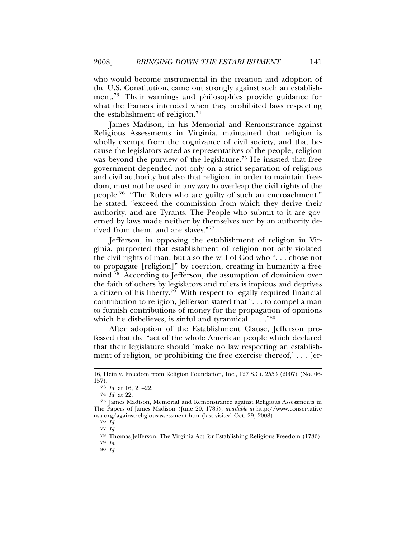who would become instrumental in the creation and adoption of the U.S. Constitution, came out strongly against such an establishment.73 Their warnings and philosophies provide guidance for what the framers intended when they prohibited laws respecting the establishment of religion.74

James Madison, in his Memorial and Remonstrance against Religious Assessments in Virginia, maintained that religion is wholly exempt from the cognizance of civil society, and that because the legislators acted as representatives of the people, religion was beyond the purview of the legislature.<sup>75</sup> He insisted that free government depended not only on a strict separation of religious and civil authority but also that religion, in order to maintain freedom, must not be used in any way to overleap the civil rights of the people.76 "The Rulers who are guilty of such an encroachment," he stated, "exceed the commission from which they derive their authority, and are Tyrants. The People who submit to it are governed by laws made neither by themselves nor by an authority derived from them, and are slaves."77

Jefferson, in opposing the establishment of religion in Virginia, purported that establishment of religion not only violated the civil rights of man, but also the will of God who ". . . chose not to propagate [religion]" by coercion, creating in humanity a free mind.<sup>78</sup> According to Jefferson, the assumption of dominion over the faith of others by legislators and rulers is impious and deprives a citizen of his liberty.<sup>79</sup> With respect to legally required financial contribution to religion, Jefferson stated that ". . . to compel a man to furnish contributions of money for the propagation of opinions which he disbelieves, is sinful and tyrannical . . . . "80"

After adoption of the Establishment Clause, Jefferson professed that the "act of the whole American people which declared that their legislature should 'make no law respecting an establishment of religion, or prohibiting the free exercise thereof,' . . . [er-

<sup>16,</sup> Hein v. Freedom from Religion Foundation, Inc., 127 S.Ct. 2553 (2007) (No. 06- 157).

<sup>73</sup> *Id.* at 16, 21–22.

<sup>74</sup> *Id.* at 22.

<sup>75</sup> James Madison, Memorial and Remonstrance against Religious Assessments in The Papers of James Madison (June 20, 1785), *available at* http://www.conservative usa.org/againstreligiousassessment.htm (last visited Oct. 29, 2008).

<sup>76</sup> *Id.*

<sup>77</sup> *Id.*

<sup>78</sup> Thomas Jefferson, The Virginia Act for Establishing Religious Freedom (1786).

<sup>79</sup> *Id*. <sup>80</sup> *Id.*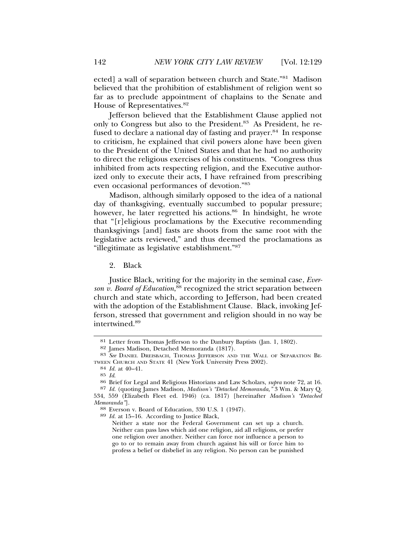ected] a wall of separation between church and State."81 Madison believed that the prohibition of establishment of religion went so far as to preclude appointment of chaplains to the Senate and House of Representatives.<sup>82</sup>

Jefferson believed that the Establishment Clause applied not only to Congress but also to the President.<sup>83</sup> As President, he refused to declare a national day of fasting and prayer.<sup>84</sup> In response to criticism, he explained that civil powers alone have been given to the President of the United States and that he had no authority to direct the religious exercises of his constituents. "Congress thus inhibited from acts respecting religion, and the Executive authorized only to execute their acts, I have refrained from prescribing even occasional performances of devotion."85

Madison, although similarly opposed to the idea of a national day of thanksgiving, eventually succumbed to popular pressure; however, he later regretted his actions.<sup>86</sup> In hindsight, he wrote that "[r]eligious proclamations by the Executive recommending thanksgivings [and] fasts are shoots from the same root with the legislative acts reviewed," and thus deemed the proclamations as "illegitimate as legislative establishment."87

2. Black

Justice Black, writing for the majority in the seminal case, *Ever*son v. Board of Education,<sup>88</sup> recognized the strict separation between church and state which, according to Jefferson, had been created with the adoption of the Establishment Clause. Black, invoking Jefferson, stressed that government and religion should in no way be intertwined.89

<sup>&</sup>lt;sup>81</sup> Letter from Thomas Jefferson to the Danbury Baptists (Jan. 1, 1802).<br><sup>82</sup> James Madison, Detached Memoranda (1817).

<sup>83</sup> See DANIEL DREISBACH, THOMAS JEFFERSON AND THE WALL OF SEPARATION BE-TWEEN CHURCH AND STATE 41 (New York University Press 2002).  $^{84}$   $\emph{Id.}$  at 40–41.  $^{85}$   $\emph{Id.}$ 

<sup>85</sup> *Id*. <sup>86</sup> Brief for Legal and Religious Historians and Law Scholars, *supra* note 72, at 16.

<sup>87</sup> *Id.* (quoting James Madison, *Madison's "Detached Memoranda,"* 3 Wm. & Mary Q. 534, 559 (Elizabeth Fleet ed. 1946) (ca. 1817) [hereinafter *Madison's "Detached*

*Memoranda"*]. <sup>88</sup> Everson v. Board of Education, 330 U.S. 1 (1947). <sup>89</sup> *Id.* at 15–16. According to Justice Black,

Neither a state nor the Federal Government can set up a church. Neither can pass laws which aid one religion, aid all religions, or prefer one religion over another. Neither can force nor influence a person to go to or to remain away from church against his will or force him to profess a belief or disbelief in any religion. No person can be punished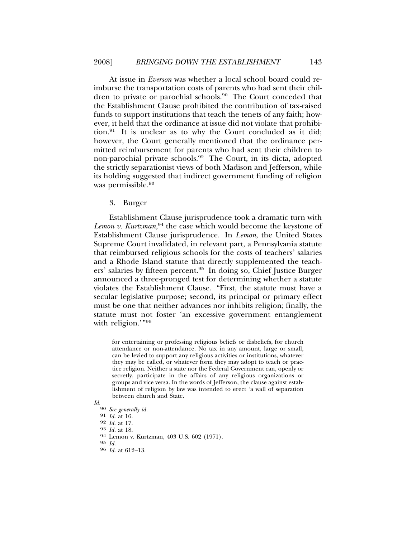At issue in *Everson* was whether a local school board could reimburse the transportation costs of parents who had sent their children to private or parochial schools.<sup>90</sup> The Court conceded that the Establishment Clause prohibited the contribution of tax-raised funds to support institutions that teach the tenets of any faith; however, it held that the ordinance at issue did not violate that prohibition.91 It is unclear as to why the Court concluded as it did; however, the Court generally mentioned that the ordinance permitted reimbursement for parents who had sent their children to non-parochial private schools.92 The Court, in its dicta, adopted the strictly separationist views of both Madison and Jefferson, while its holding suggested that indirect government funding of religion was permissible.<sup>93</sup>

#### 3. Burger

Establishment Clause jurisprudence took a dramatic turn with Lemon v. Kurtzman,<sup>94</sup> the case which would become the keystone of Establishment Clause jurisprudence. In *Lemon*, the United States Supreme Court invalidated, in relevant part, a Pennsylvania statute that reimbursed religious schools for the costs of teachers' salaries and a Rhode Island statute that directly supplemented the teachers' salaries by fifteen percent.95 In doing so, Chief Justice Burger announced a three-pronged test for determining whether a statute violates the Establishment Clause. "First, the statute must have a secular legislative purpose; second, its principal or primary effect must be one that neither advances nor inhibits religion; finally, the statute must not foster 'an excessive government entanglement with religion.'"96

for entertaining or professing religious beliefs or disbeliefs, for church attendance or non-attendance. No tax in any amount, large or small, can be levied to support any religious activities or institutions, whatever they may be called, or whatever form they may adopt to teach or practice religion. Neither a state nor the Federal Government can, openly or secretly, participate in the affairs of any religious organizations or groups and vice versa. In the words of Jefferson, the clause against establishment of religion by law was intended to erect 'a wall of separation between church and State.

*Id.*<sup>90</sup> *See generally id.*

<sup>91</sup> *Id.* at 16.

<sup>92</sup> *Id.* at 17. <sup>93</sup> *Id.* at 18. <sup>94</sup> Lemon v. Kurtzman, 403 U.S. 602 (1971).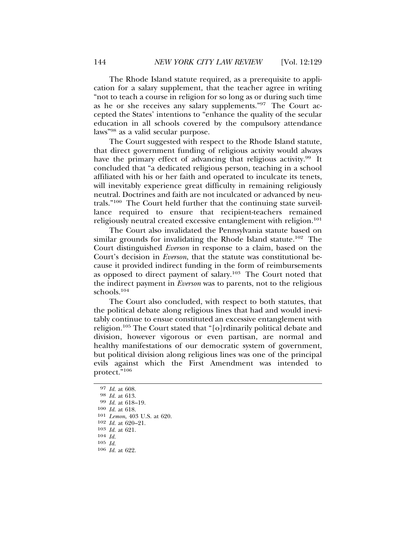The Rhode Island statute required, as a prerequisite to application for a salary supplement, that the teacher agree in writing "not to teach a course in religion for so long as or during such time as he or she receives any salary supplements."97 The Court accepted the States' intentions to "enhance the quality of the secular education in all schools covered by the compulsory attendance laws"98 as a valid secular purpose.

The Court suggested with respect to the Rhode Island statute, that direct government funding of religious activity would always have the primary effect of advancing that religious activity.<sup>99</sup> It concluded that "a dedicated religious person, teaching in a school affiliated with his or her faith and operated to inculcate its tenets, will inevitably experience great difficulty in remaining religiously neutral. Doctrines and faith are not inculcated or advanced by neutrals."100 The Court held further that the continuing state surveillance required to ensure that recipient-teachers remained religiously neutral created excessive entanglement with religion.<sup>101</sup>

The Court also invalidated the Pennsylvania statute based on similar grounds for invalidating the Rhode Island statute.<sup>102</sup> The Court distinguished *Everson* in response to a claim, based on the Court's decision in *Everson*, that the statute was constitutional because it provided indirect funding in the form of reimbursements as opposed to direct payment of salary.103 The Court noted that the indirect payment in *Everson* was to parents, not to the religious schools.<sup>104</sup>

The Court also concluded, with respect to both statutes, that the political debate along religious lines that had and would inevitably continue to ensue constituted an excessive entanglement with religion.105 The Court stated that "[o]rdinarily political debate and division, however vigorous or even partisan, are normal and healthy manifestations of our democratic system of government, but political division along religious lines was one of the principal evils against which the First Amendment was intended to protect."106

106 *Id.* at 622.

<sup>97</sup> *Id.* at 608. <sup>98</sup> *Id.* at 613. <sup>99</sup> *Id.* at 618–19.

<sup>100</sup> *Id.* at 618.

<sup>101</sup> *Lemon*, 403 U.S. at 620.

<sup>102</sup> *Id.* at 620–21.

<sup>103</sup> *Id.* at 621.

<sup>104</sup> *Id.*

<sup>105</sup> *Id.*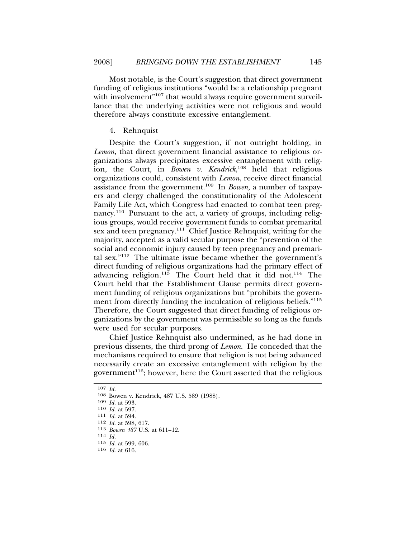Most notable, is the Court's suggestion that direct government funding of religious institutions "would be a relationship pregnant with involvement"<sup>107</sup> that would always require government surveillance that the underlying activities were not religious and would therefore always constitute excessive entanglement.

# 4. Rehnquist

Despite the Court's suggestion, if not outright holding, in *Lemon*, that direct government financial assistance to religious organizations always precipitates excessive entanglement with religion, the Court, in *Bowen v. Kendrick*, 108 held that religious organizations could, consistent with *Lemon*, receive direct financial assistance from the government.109 In *Bowen,* a number of taxpayers and clergy challenged the constitutionality of the Adolescent Family Life Act, which Congress had enacted to combat teen pregnancy.110 Pursuant to the act, a variety of groups, including religious groups, would receive government funds to combat premarital sex and teen pregnancy.<sup>111</sup> Chief Justice Rehnquist, writing for the majority, accepted as a valid secular purpose the "prevention of the social and economic injury caused by teen pregnancy and premarital sex."112 The ultimate issue became whether the government's direct funding of religious organizations had the primary effect of advancing religion.<sup>113</sup> The Court held that it did not.<sup>114</sup> The Court held that the Establishment Clause permits direct government funding of religious organizations but "prohibits the government from directly funding the inculcation of religious beliefs."<sup>115</sup> Therefore, the Court suggested that direct funding of religious organizations by the government was permissible so long as the funds were used for secular purposes.

Chief Justice Rehnquist also undermined, as he had done in previous dissents, the third prong of *Lemon*. He conceded that the mechanisms required to ensure that religion is not being advanced necessarily create an excessive entanglement with religion by the government<sup>116</sup>; however, here the Court asserted that the religious

<sup>107</sup> *Id.*

<sup>108</sup> Bowen v. Kendrick, 487 U.S. 589 (1988).

<sup>109</sup> *Id.* at 593.

<sup>111</sup> *Id.* at 594.

<sup>112</sup> *Id.* at 598, 617.

<sup>113</sup> *Bowen 487* U.S. at 611–12. <sup>114</sup> *Id.*

<sup>115</sup> *Id.* at 599, 606.

<sup>116</sup> *Id.* at 616.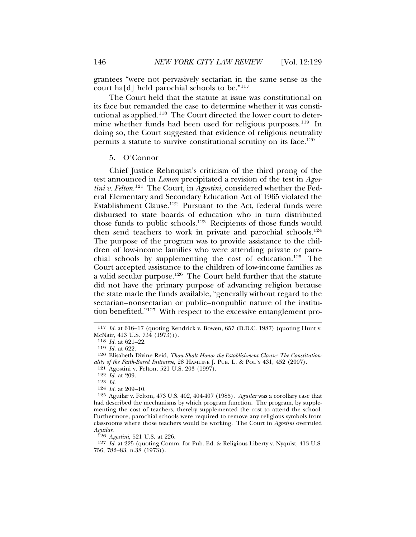grantees "were not pervasively sectarian in the same sense as the court ha[d] held parochial schools to be." $117$ 

The Court held that the statute at issue was constitutional on its face but remanded the case to determine whether it was constitutional as applied.<sup>118</sup> The Court directed the lower court to determine whether funds had been used for religious purposes.<sup>119</sup> In doing so, the Court suggested that evidence of religious neutrality permits a statute to survive constitutional scrutiny on its face.<sup>120</sup>

#### 5. O'Connor

Chief Justice Rehnquist's criticism of the third prong of the test announced in *Lemon* precipitated a revision of the test in *Agostini v. Felton*. 121 The Court, in *Agostini*, considered whether the Federal Elementary and Secondary Education Act of 1965 violated the Establishment Clause.<sup>122</sup> Pursuant to the Act, federal funds were disbursed to state boards of education who in turn distributed those funds to public schools.123 Recipients of those funds would then send teachers to work in private and parochial schools.<sup>124</sup> The purpose of the program was to provide assistance to the children of low-income families who were attending private or parochial schools by supplementing the cost of education.125 The Court accepted assistance to the children of low-income families as a valid secular purpose.126 The Court held further that the statute did not have the primary purpose of advancing religion because the state made the funds available, "generally without regard to the sectarian–nonsectarian or public–nonpublic nature of the institution benefited."127 With respect to the excessive entanglement pro-

126 *Agostini*, 521 U.S. at 226.

<sup>117</sup> *Id.* at 616–17 (quoting Kendrick v. Bowen, 657 (D.D.C. 1987) (quoting Hunt v. McNair, 413 U.S. 734 (1973))).

<sup>118</sup> *Id.* at 621–22.

<sup>119</sup> *Id.* at 622.

<sup>120</sup> Elisabeth Divine Reid, *Thou Shalt Honor the Establishment Clause: The Constitutionality of the Faith-Based Initiative*, 28 HAMLINE J. PUB. L. & POL'Y 431, 452 (2007).

 $121$  Agostini v. Felton, 521 U.S. 203 (1997).

<sup>122</sup> *Id.* at 209.

<sup>123</sup> *Id.*

<sup>124</sup> *Id.* at 209–10.

<sup>125</sup> Aguilar v. Felton, 473 U.S. 402, 404-407 (1985). *Aguilar* was a corollary case that had described the mechanisms by which program function. The program, by supplementing the cost of teachers, thereby supplemented the cost to attend the school. Furthermore, parochial schools were required to remove any religious symbols from classrooms where those teachers would be working. The Court in *Agostini* overruled *Aguilar.*

<sup>127</sup> *Id.* at 225 (quoting Comm. for Pub. Ed. & Religious Liberty v. Nyquist, 413 U.S. 756, 782–83, n.38 (1973)).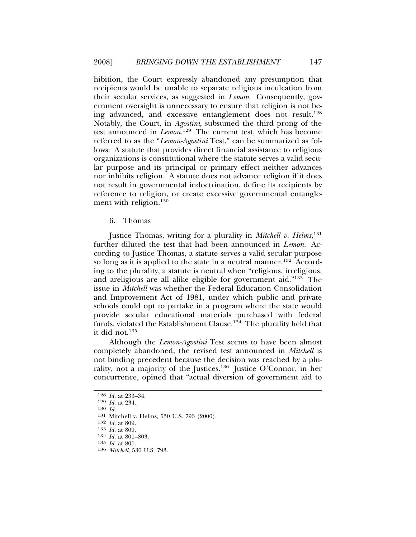hibition, the Court expressly abandoned any presumption that recipients would be unable to separate religious inculcation from their secular services, as suggested in *Lemon*. Consequently, government oversight is unnecessary to ensure that religion is not being advanced, and excessive entanglement does not result.<sup>128</sup> Notably, the Court, in *Agostini*, subsumed the third prong of the test announced in *Lemon.*129 The current test, which has become referred to as the "*Lemon-Agostini* Test," can be summarized as follows: A statute that provides direct financial assistance to religious organizations is constitutional where the statute serves a valid secular purpose and its principal or primary effect neither advances nor inhibits religion. A statute does not advance religion if it does not result in governmental indoctrination, define its recipients by reference to religion, or create excessive governmental entanglement with religion.<sup>130</sup>

6. Thomas

Justice Thomas, writing for a plurality in *Mitchell v. Helms,*<sup>131</sup> further diluted the test that had been announced in *Lemon.* According to Justice Thomas, a statute serves a valid secular purpose so long as it is applied to the state in a neutral manner.<sup>132</sup> According to the plurality, a statute is neutral when "religious, irreligious, and areligious are all alike eligible for government aid."133 The issue in *Mitchell* was whether the Federal Education Consolidation and Improvement Act of 1981, under which public and private schools could opt to partake in a program where the state would provide secular educational materials purchased with federal funds, violated the Establishment Clause.<sup>134</sup> The plurality held that it did not.<sup>135</sup>

Although the *Lemon-Agostini* Test seems to have been almost completely abandoned, the revised test announced in *Mitchell* is not binding precedent because the decision was reached by a plurality, not a majority of the Justices.136 Justice O'Connor, in her concurrence, opined that "actual diversion of government aid to

<sup>128</sup> *Id.* at 233–34.

<sup>129</sup> *Id.* at 234.

<sup>130</sup> *Id.*

<sup>131</sup> Mitchell v. Helms, 530 U.S. 793 (2000).

<sup>132</sup> *Id.* at 809.

<sup>133</sup> *Id.* at 809.

<sup>134</sup> *Id.* at 801–803.

<sup>135</sup> *Id.* at 801.

<sup>136</sup> *Mitchell*, 530 U.S. 793.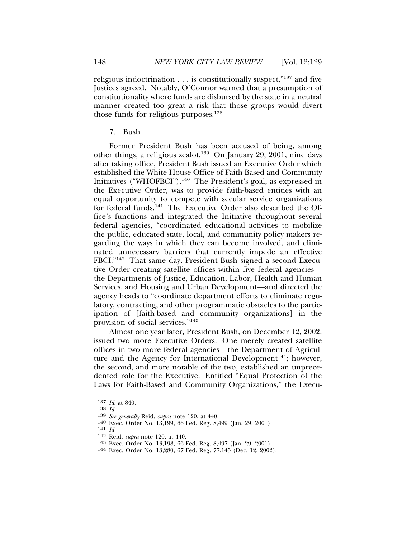religious indoctrination  $\dots$  is constitutionally suspect,"<sup>137</sup> and five Justices agreed. Notably, O'Connor warned that a presumption of constitutionality where funds are disbursed by the state in a neutral manner created too great a risk that those groups would divert those funds for religious purposes. $138$ 

7. Bush

Former President Bush has been accused of being, among other things, a religious zealot.139 On January 29, 2001, nine days after taking office, President Bush issued an Executive Order which established the White House Office of Faith-Based and Community Initiatives ("WHOFBCI").<sup>140</sup> The President's goal, as expressed in the Executive Order, was to provide faith-based entities with an equal opportunity to compete with secular service organizations for federal funds.141 The Executive Order also described the Office's functions and integrated the Initiative throughout several federal agencies, "coordinated educational activities to mobilize the public, educated state, local, and community policy makers regarding the ways in which they can become involved, and eliminated unnecessary barriers that currently impede an effective FBCI."142 That same day, President Bush signed a second Executive Order creating satellite offices within five federal agencies the Departments of Justice, Education, Labor, Health and Human Services, and Housing and Urban Development—and directed the agency heads to "coordinate department efforts to eliminate regulatory, contracting, and other programmatic obstacles to the participation of [faith-based and community organizations] in the provision of social services."<sup>143</sup>

Almost one year later, President Bush, on December 12, 2002, issued two more Executive Orders. One merely created satellite offices in two more federal agencies—the Department of Agriculture and the Agency for International Development<sup>144</sup>; however, the second, and more notable of the two, established an unprecedented role for the Executive. Entitled "Equal Protection of the Laws for Faith-Based and Community Organizations," the Execu-

<sup>137</sup> *Id*. at 840.

<sup>138</sup> *Id.*

<sup>139</sup> *See generally* Reid, *supra* note 120, at 440.

<sup>140</sup> Exec. Order No. 13,199, 66 Fed. Reg. 8,499 (Jan. 29, 2001). <sup>141</sup> *Id.*

<sup>142</sup> Reid, *supra* note 120, at 440.

<sup>&</sup>lt;sup>144</sup> Exec. Order No. 13,280, 67 Fed. Reg. 77,145 (Dec. 12, 2002).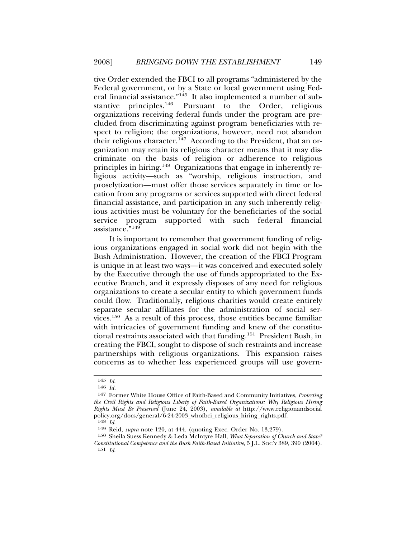tive Order extended the FBCI to all programs "administered by the Federal government, or by a State or local government using Federal financial assistance."145 It also implemented a number of substantive principles.<sup>146</sup> Pursuant to the Order, religious organizations receiving federal funds under the program are precluded from discriminating against program beneficiaries with respect to religion; the organizations, however, need not abandon their religious character.<sup>147</sup> According to the President, that an organization may retain its religious character means that it may discriminate on the basis of religion or adherence to religious principles in hiring.148 Organizations that engage in inherently religious activity—such as "worship, religious instruction, and proselytization—must offer those services separately in time or location from any programs or services supported with direct federal financial assistance, and participation in any such inherently religious activities must be voluntary for the beneficiaries of the social service program supported with such federal financial assistance."<sup>149</sup>

It is important to remember that government funding of religious organizations engaged in social work did not begin with the Bush Administration. However, the creation of the FBCI Program is unique in at least two ways—it was conceived and executed solely by the Executive through the use of funds appropriated to the Executive Branch, and it expressly disposes of any need for religious organizations to create a secular entity to which government funds could flow. Traditionally, religious charities would create entirely separate secular affiliates for the administration of social services.150 As a result of this process, those entities became familiar with intricacies of government funding and knew of the constitutional restraints associated with that funding.151 President Bush, in creating the FBCI, sought to dispose of such restraints and increase partnerships with religious organizations. This expansion raises concerns as to whether less experienced groups will use govern-

<sup>145</sup> *Id*.

<sup>146</sup> *Id.*

<sup>147</sup> Former White House Office of Faith-Based and Community Initiatives, *Protecting the Civil Rights and Religious Liberty of Faith-Based Organizations: Why Religious Hiring Rights Must Be Preserved* (June 24, 2003), *available at* http://www.religionandsocial policy.org/docs/general/6-24-2003\_whofbci\_religious\_hiring\_rights.pdf.<br> $^{148}$  Id.

<sup>148</sup> *Id*. <sup>149</sup> Reid, *supra* note 120, at 444. (quoting Exec. Order No. 13,279).

<sup>150</sup> Sheila Suess Kennedy & Leda McIntyre Hall, *What Separation of Church and State? Constitutional Competence and the Bush Faith-Based Initiative*, 5 J.L. SOC'Y 389, 390 (2004). 151 *Id*.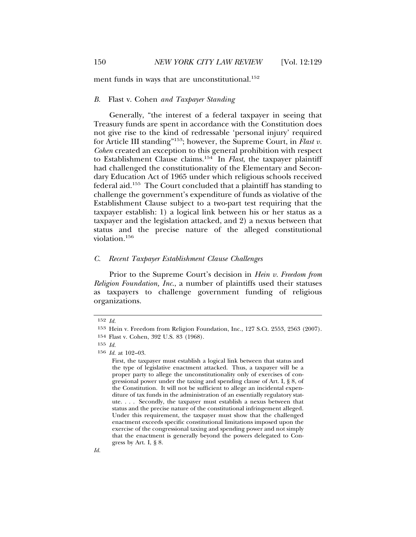ment funds in ways that are unconstitutional.<sup>152</sup>

#### *B.* Flast v. Cohen *and Taxpayer Standing*

Generally, "the interest of a federal taxpayer in seeing that Treasury funds are spent in accordance with the Constitution does not give rise to the kind of redressable 'personal injury' required for Article III standing"153; however, the Supreme Court, in *Flast v. Cohen* created an exception to this general prohibition with respect to Establishment Clause claims.154 In *Flast*, the taxpayer plaintiff had challenged the constitutionality of the Elementary and Secondary Education Act of 1965 under which religious schools received federal aid.155 The Court concluded that a plaintiff has standing to challenge the government's expenditure of funds as violative of the Establishment Clause subject to a two-part test requiring that the taxpayer establish: 1) a logical link between his or her status as a taxpayer and the legislation attacked, and 2) a nexus between that status and the precise nature of the alleged constitutional violation.<sup>156</sup>

### *C. Recent Taxpayer Establishment Clause Challenges*

Prior to the Supreme Court's decision in *Hein v. Freedom from Religion Foundation, Inc*., a number of plaintiffs used their statuses as taxpayers to challenge government funding of religious organizations.

<sup>152</sup> *Id.*

<sup>153</sup> Hein v. Freedom from Religion Foundation, Inc., 127 S.Ct. 2553, 2563 (2007). 154 Flast v. Cohen, 392 U.S. 83 (1968).

<sup>155</sup> *Id.*

<sup>156</sup> *Id.* at 102–03.

First, the taxpayer must establish a logical link between that status and the type of legislative enactment attacked. Thus, a taxpayer will be a proper party to allege the unconstitutionality only of exercises of congressional power under the taxing and spending clause of Art. I, § 8, of the Constitution. It will not be sufficient to allege an incidental expenditure of tax funds in the administration of an essentially regulatory statute. . . . Secondly, the taxpayer must establish a nexus between that status and the precise nature of the constitutional infringement alleged. Under this requirement, the taxpayer must show that the challenged enactment exceeds specific constitutional limitations imposed upon the exercise of the congressional taxing and spending power and not simply that the enactment is generally beyond the powers delegated to Congress by Art. I, § 8.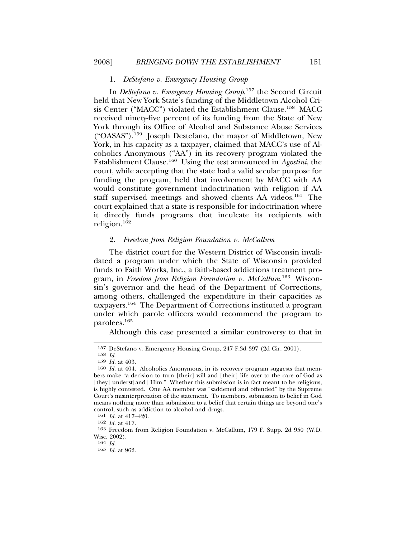#### 1. *DeStefano v. Emergency Housing Group*

In *DeStefano v. Emergency Housing Group*, 157 the Second Circuit held that New York State's funding of the Middletown Alcohol Crisis Center ("MACC") violated the Establishment Clause.<sup>158</sup> MACC received ninety-five percent of its funding from the State of New York through its Office of Alcohol and Substance Abuse Services ("OASAS").159 Joseph Destefano, the mayor of Middletown, New York, in his capacity as a taxpayer, claimed that MACC's use of Alcoholics Anonymous ("AA") in its recovery program violated the Establishment Clause.160 Using the test announced in *Agostini*, the court, while accepting that the state had a valid secular purpose for funding the program, held that involvement by MACC with AA would constitute government indoctrination with religion if AA staff supervised meetings and showed clients AA videos.<sup>161</sup> The court explained that a state is responsible for indoctrination where it directly funds programs that inculcate its recipients with religion.<sup>162</sup>

## 2. *Freedom from Religion Foundation v. McCallum*

The district court for the Western District of Wisconsin invalidated a program under which the State of Wisconsin provided funds to Faith Works, Inc., a faith-based addictions treatment program, in *Freedom from Religion Foundation v. McCallum*. 163 Wisconsin's governor and the head of the Department of Corrections, among others, challenged the expenditure in their capacities as taxpayers.164 The Department of Corrections instituted a program under which parole officers would recommend the program to parolees.<sup>165</sup>

Although this case presented a similar controversy to that in

161 *Id.* at 417–420.

164 *Id.*

<sup>157</sup> DeStefano v. Emergency Housing Group, 247 F.3d 397 (2d Cir. 2001).

<sup>158</sup> *Id.*

<sup>159</sup> *Id.* at 403.

<sup>160</sup> *Id.* at 404. Alcoholics Anonymous, in its recovery program suggests that members make "a decision to turn [their] will and [their] life over to the care of God as [they] underst[and] Him." Whether this submission is in fact meant to be religious, is highly contested. One AA member was "saddened and offended" by the Supreme Court's misinterpretation of the statement. To members, submission to belief in God means nothing more than submission to a belief that certain things are beyond one's control, such as addiction to alcohol and drugs.

<sup>162</sup> *Id.* at 417.

<sup>163</sup> Freedom from Religion Foundation v. McCallum, 179 F. Supp. 2d 950 (W.D. Wisc. 2002).

<sup>165</sup> *Id.* at 962.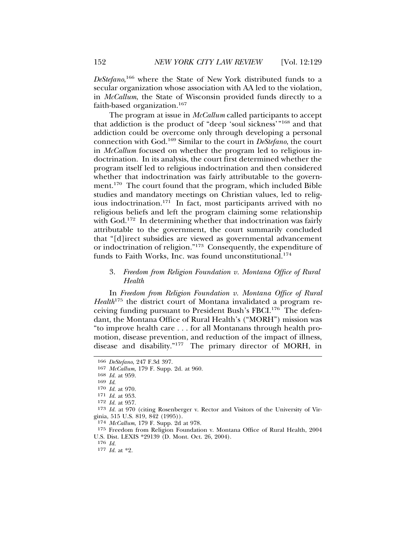*DeStefano*, 166 where the State of New York distributed funds to a secular organization whose association with AA led to the violation, in *McCallum*, the State of Wisconsin provided funds directly to a faith-based organization.167

The program at issue in *McCallum* called participants to accept that addiction is the product of "deep 'soul sickness'"168 and that addiction could be overcome only through developing a personal connection with God.169 Similar to the court in *DeStefano*, the court in *McCallum* focused on whether the program led to religious indoctrination. In its analysis, the court first determined whether the program itself led to religious indoctrination and then considered whether that indoctrination was fairly attributable to the government.<sup>170</sup> The court found that the program, which included Bible studies and mandatory meetings on Christian values, led to religious indoctrination.<sup>171</sup> In fact, most participants arrived with no religious beliefs and left the program claiming some relationship with God.<sup>172</sup> In determining whether that indoctrination was fairly attributable to the government, the court summarily concluded that "[d]irect subsidies are viewed as governmental advancement or indoctrination of religion."173 Consequently, the expenditure of funds to Faith Works, Inc. was found unconstitutional.<sup>174</sup>

# 3. *Freedom from Religion Foundation v. Montana Office of Rural Health*

In *Freedom from Religion Foundation v. Montana Office of Rural Health*175 the district court of Montana invalidated a program receiving funding pursuant to President Bush's FBCI.176 The defendant, the Montana Office of Rural Health's ("MORH") mission was "to improve health care . . . for all Montanans through health promotion, disease prevention, and reduction of the impact of illness, disease and disability."177 The primary director of MORH, in

<sup>166</sup> *DeStefano*, 247 F.3d 397.

<sup>167</sup> *McCallum*, 179 F. Supp. 2d. at 960.

<sup>168</sup> *Id.* at 959.

<sup>169</sup> *Id*. <sup>170</sup> *Id.* at 970.

<sup>171</sup> *Id.* at 953.

<sup>172</sup> *Id.* at 957.

<sup>173</sup> *Id.* at 970 (citing Rosenberger v. Rector and Visitors of the University of Virginia, 515 U.S. 819, 842 (1995)).

<sup>174</sup> *McCallum*, 179 F. Supp. 2d at 978.

<sup>175</sup> Freedom from Religion Foundation v. Montana Office of Rural Health, 2004 U.S. Dist. LEXIS \*29139 (D. Mont. Oct. 26, 2004).

<sup>176</sup> *Id.*

<sup>177</sup> *Id.* at \*2.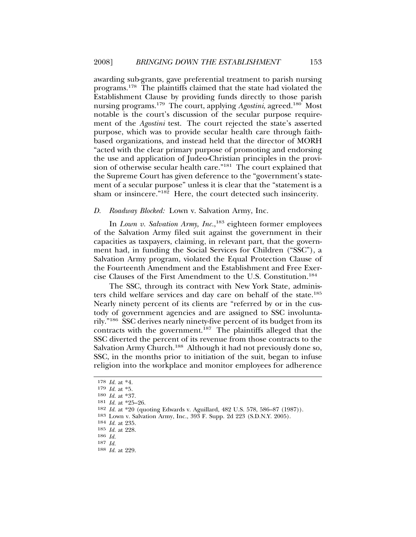awarding sub-grants, gave preferential treatment to parish nursing programs.178 The plaintiffs claimed that the state had violated the Establishment Clause by providing funds directly to those parish nursing programs.179 The court, applying *Agostini*, agreed.180 Most notable is the court's discussion of the secular purpose requirement of the *Agostini* test. The court rejected the state's asserted purpose, which was to provide secular health care through faithbased organizations, and instead held that the director of MORH "acted with the clear primary purpose of promoting and endorsing the use and application of Judeo-Christian principles in the provision of otherwise secular health care."181 The court explained that the Supreme Court has given deference to the "government's statement of a secular purpose" unless it is clear that the "statement is a sham or insincere."182 Here, the court detected such insincerity.

#### *D. Roadway Blocked:* Lown v. Salvation Army, Inc.

In *Lown v. Salvation Army, Inc.*, 183 eighteen former employees of the Salvation Army filed suit against the government in their capacities as taxpayers, claiming, in relevant part, that the government had, in funding the Social Services for Children ("SSC"), a Salvation Army program, violated the Equal Protection Clause of the Fourteenth Amendment and the Establishment and Free Exercise Clauses of the First Amendment to the U.S. Constitution.<sup>184</sup>

The SSC, through its contract with New York State, administers child welfare services and day care on behalf of the state.<sup>185</sup> Nearly ninety percent of its clients are "referred by or in the custody of government agencies and are assigned to SSC involuntarily."186 SSC derives nearly ninety-five percent of its budget from its contracts with the government.187 The plaintiffs alleged that the SSC diverted the percent of its revenue from those contracts to the Salvation Army Church.<sup>188</sup> Although it had not previously done so, SSC, in the months prior to initiation of the suit, began to infuse religion into the workplace and monitor employees for adherence

<sup>178</sup> *Id.* at \*4.

<sup>179</sup> *Id.* at \*5.

<sup>180</sup> *Id.* at \*37.

<sup>181</sup> *Id.* at \*25–26.

<sup>182</sup> *Id.* at \*20 (quoting Edwards v. Aguillard, 482 U.S. 578, 586–87 (1987)).

<sup>183</sup> Lown v. Salvation Army, Inc., 393 F. Supp. 2d 223 (S.D.N.Y. 2005).

<sup>184</sup> *Id.* at 235.

<sup>185</sup> *Id.* at 228.

<sup>186</sup> *Id.* 187 *Id.*

<sup>188</sup> *Id.* at 229.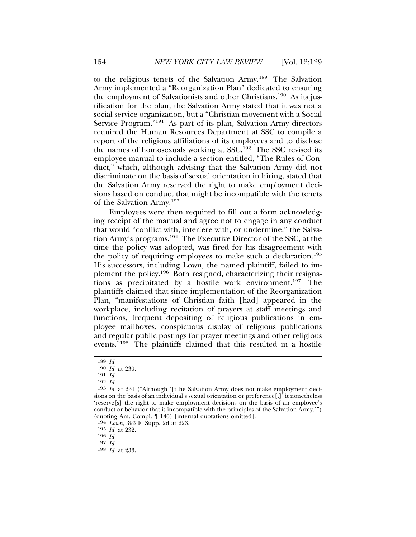to the religious tenets of the Salvation Army.189 The Salvation Army implemented a "Reorganization Plan" dedicated to ensuring the employment of Salvationists and other Christians.190 As its justification for the plan, the Salvation Army stated that it was not a social service organization, but a "Christian movement with a Social Service Program."191 As part of its plan, Salvation Army directors required the Human Resources Department at SSC to compile a report of the religious affiliations of its employees and to disclose the names of homosexuals working at SSC.<sup>192</sup> The SSC revised its employee manual to include a section entitled, "The Rules of Conduct," which, although advising that the Salvation Army did not discriminate on the basis of sexual orientation in hiring, stated that the Salvation Army reserved the right to make employment decisions based on conduct that might be incompatible with the tenets of the Salvation Army.<sup>193</sup>

Employees were then required to fill out a form acknowledging receipt of the manual and agree not to engage in any conduct that would "conflict with, interfere with, or undermine," the Salvation Army's programs.194 The Executive Director of the SSC, at the time the policy was adopted, was fired for his disagreement with the policy of requiring employees to make such a declaration.195 His successors, including Lown, the named plaintiff, failed to implement the policy.196 Both resigned, characterizing their resignations as precipitated by a hostile work environment.197 The plaintiffs claimed that since implementation of the Reorganization Plan, "manifestations of Christian faith [had] appeared in the workplace, including recitation of prayers at staff meetings and functions, frequent depositing of religious publications in employee mailboxes, conspicuous display of religious publications and regular public postings for prayer meetings and other religious events."198 The plaintiffs claimed that this resulted in a hostile

195 *Id.* at 232.

196 *Id.*

<sup>189</sup> *Id.*

<sup>190</sup> *Id.* at 230.

<sup>191</sup> *Id*. <sup>192</sup> *Id.*

<sup>193</sup> *Id.* at 231 ("Although '[t]he Salvation Army does not make employment decisions on the basis of an individual's sexual orientation or preference $\left[\right]$ , it nonetheless 'reserve[s] the right to make employment decisions on the basis of an employee's conduct or behavior that is incompatible with the principles of the Salvation Army.'") (quoting Am. Compl. ¶ 140) [internal quotations omitted].

<sup>194</sup> *Lown*, 393 F. Supp. 2d at 223.

<sup>197</sup> *Id*. <sup>198</sup> *Id.* at 233.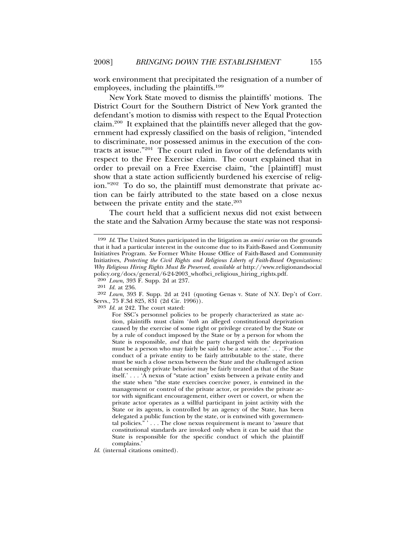work environment that precipitated the resignation of a number of employees, including the plaintiffs.<sup>199</sup>

New York State moved to dismiss the plaintiffs' motions. The District Court for the Southern District of New York granted the defendant's motion to dismiss with respect to the Equal Protection claim.200 It explained that the plaintiffs never alleged that the government had expressly classified on the basis of religion, "intended to discriminate, nor possessed animus in the execution of the contracts at issue."201 The court ruled in favor of the defendants with respect to the Free Exercise claim. The court explained that in order to prevail on a Free Exercise claim, "the [plaintiff] must show that a state action sufficiently burdened his exercise of religion."202 To do so, the plaintiff must demonstrate that private action can be fairly attributed to the state based on a close nexus between the private entity and the state.<sup>203</sup>

The court held that a sufficient nexus did not exist between the state and the Salvation Army because the state was not responsi-

203 *Id.* at 242. The court stated:

<sup>199</sup> *Id*. The United States participated in the litigation as *amici curiae* on the grounds that it had a particular interest in the outcome due to its Faith-Based and Community Initiatives Program. *See* Former White House Office of Faith-Based and Community Initiatives, *Protecting the Civil Rights and Religious Liberty of Faith-Based Organizations: Why Religious Hiring Rights Must Be Preserved*, *available at* http://www.religionandsocial policy.org/docs/general/6-24-2003\_whofbci\_religious\_hiring\_rights.pdf.

<sup>200</sup> *Lown*, 393 F. Supp. 2d at 237.

<sup>201</sup> *Id.* at 236.

<sup>202</sup> *Lown*, 393 F. Supp. 2d at 241 (quoting Genas v. State of N.Y. Dep't of Corr. Servs., 75 F.3d 825, 831 (2d Cir. 1996)).

For SSC's personnel policies to be properly characterized as state action, plaintiffs must claim '*both* an alleged constitutional deprivation caused by the exercise of some right or privilege created by the State or by a rule of conduct imposed by the State or by a person for whom the State is responsible, *and* that the party charged with the deprivation must be a person who may fairly be said to be a state actor.' . . . 'For the conduct of a private entity to be fairly attributable to the state, there must be such a close nexus between the State and the challenged action that seemingly private behavior may be fairly treated as that of the State itself.' . . . 'A nexus of "state action" exists between a private entity and the state when "the state exercises coercive power, is entwined in the management or control of the private actor, or provides the private actor with significant encouragement, either overt or covert, or when the private actor operates as a willful participant in joint activity with the State or its agents, is controlled by an agency of the State, has been delegated a public function by the state, or is entwined with governmental policies." ' . . . The close nexus requirement is meant to 'assure that constitutional standards are invoked only when it can be said that the State is responsible for the specific conduct of which the plaintiff complains.'

*Id*. (internal citations omitted).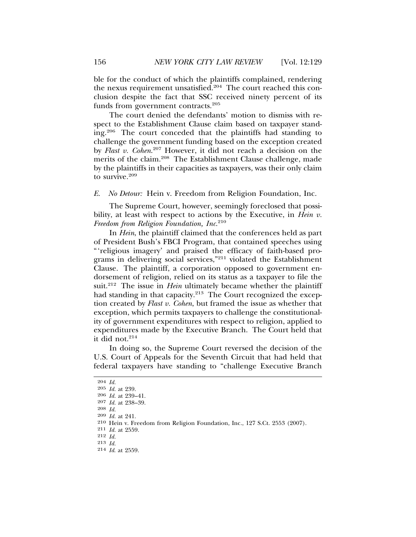ble for the conduct of which the plaintiffs complained, rendering the nexus requirement unsatisfied.<sup>204</sup> The court reached this conclusion despite the fact that SSC received ninety percent of its funds from government contracts.<sup>205</sup>

The court denied the defendants' motion to dismiss with respect to the Establishment Clause claim based on taxpayer standing.206 The court conceded that the plaintiffs had standing to challenge the government funding based on the exception created by *Flast v. Cohen*. 207 However, it did not reach a decision on the merits of the claim.<sup>208</sup> The Establishment Clause challenge, made by the plaintiffs in their capacities as taxpayers, was their only claim to survive.<sup>209</sup>

*E. No Detour:* Hein v. Freedom from Religion Foundation, Inc.

The Supreme Court, however, seemingly foreclosed that possibility, at least with respect to actions by the Executive, in *Hein v. Freedom from Religion Foundation, Inc*. 210

In *Hein*, the plaintiff claimed that the conferences held as part of President Bush's FBCI Program, that contained speeches using "'religious imagery' and praised the efficacy of faith-based programs in delivering social services,"211 violated the Establishment Clause. The plaintiff, a corporation opposed to government endorsement of religion, relied on its status as a taxpayer to file the suit.<sup>212</sup> The issue in *Hein* ultimately became whether the plaintiff had standing in that capacity.<sup>213</sup> The Court recognized the exception created by *Flast v. Cohen*, but framed the issue as whether that exception, which permits taxpayers to challenge the constitutionality of government expenditures with respect to religion, applied to expenditures made by the Executive Branch. The Court held that it did not.<sup>214</sup>

In doing so, the Supreme Court reversed the decision of the U.S. Court of Appeals for the Seventh Circuit that had held that federal taxpayers have standing to "challenge Executive Branch

<sup>204</sup> *Id.*

<sup>205</sup> *Id.* at 239.

<sup>206</sup> *Id.* at 239–41.

<sup>207</sup> *Id.* at 238–39.

<sup>208</sup> *Id.*

<sup>209</sup> *Id.* at 241.

<sup>210</sup> Hein v. Freedom from Religion Foundation, Inc., 127 S.Ct. 2553 (2007).

<sup>211</sup> *Id.* at 2559.

<sup>212</sup> *Id.*

<sup>213</sup> *Id.*

<sup>214</sup> *Id*. at 2559.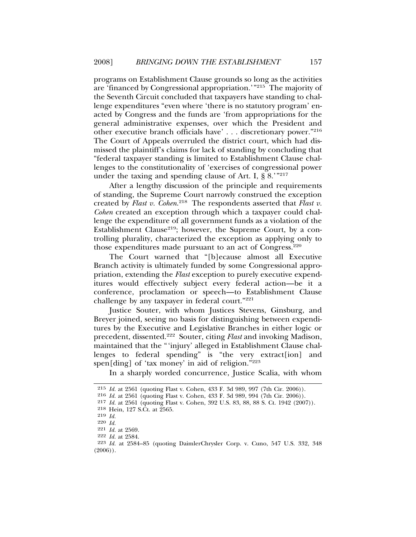programs on Establishment Clause grounds so long as the activities are 'financed by Congressional appropriation.'"215 The majority of the Seventh Circuit concluded that taxpayers have standing to challenge expenditures "even where 'there is no statutory program' enacted by Congress and the funds are 'from appropriations for the general administrative expenses, over which the President and other executive branch officials have' . . . discretionary power."216 The Court of Appeals overruled the district court, which had dismissed the plaintiff's claims for lack of standing by concluding that "federal taxpayer standing is limited to Establishment Clause challenges to the constitutionality of 'exercises of congressional power under the taxing and spending clause of Art. I,  $\S 8$ .<sup>"217</sup>

After a lengthy discussion of the principle and requirements of standing, the Supreme Court narrowly construed the exception created by *Flast v. Cohen.*<sup>218</sup> The respondents asserted that *Flast v. Cohen* created an exception through which a taxpayer could challenge the expenditure of all government funds as a violation of the Establishment Clause<sup>219</sup>; however, the Supreme Court, by a controlling plurality, characterized the exception as applying only to those expenditures made pursuant to an act of Congress. $220$ 

The Court warned that "[b]ecause almost all Executive Branch activity is ultimately funded by some Congressional appropriation, extending the *Flast* exception to purely executive expenditures would effectively subject every federal action—be it a conference, proclamation or speech—to Establishment Clause challenge by any taxpayer in federal court."221

Justice Souter, with whom Justices Stevens, Ginsburg, and Breyer joined, seeing no basis for distinguishing between expenditures by the Executive and Legislative Branches in either logic or precedent, dissented.222 Souter, citing *Flast* and invoking Madison, maintained that the "'injury' alleged in Establishment Clause challenges to federal spending" is "the very extract[ion] and spen[ding] of 'tax money' in aid of religion." $223$ 

In a sharply worded concurrence, Justice Scalia, with whom

<sup>215</sup> *Id.* at 2561 (quoting Flast v. Cohen, 433 F. 3d 989, 997 (7th Cir. 2006)).

<sup>216</sup> *Id.* at 2561 (quoting Flast v. Cohen, 433 F. 3d 989, 994 (7th Cir. 2006)).

<sup>217</sup> *Id.* at 2561 (quoting Flast v. Cohen, 392 U.S. 83, 88, 88 S. Ct. 1942 (2007)).

<sup>218</sup> Hein, 127 S.Ct. at 2565.

<sup>219</sup> *Id.*

<sup>220</sup> *Id.*

<sup>221</sup> *Id.* at 2569.

<sup>222</sup> *Id.* at 2584.

<sup>223</sup> *Id.* at 2584–85 (quoting DaimlerChrysler Corp. v. Cuno, 547 U.S. 332, 348  $(2006)$ .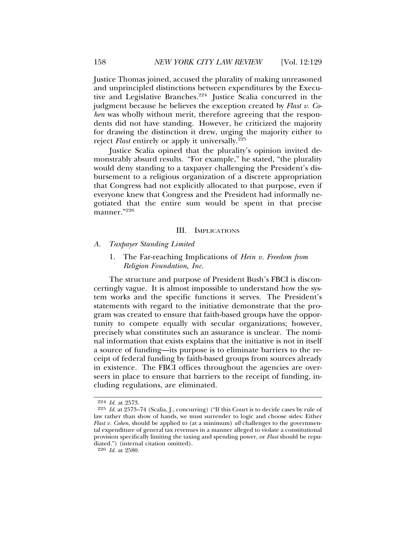Justice Thomas joined, accused the plurality of making unreasoned and unprincipled distinctions between expenditures by the Executive and Legislative Branches.224 Justice Scalia concurred in the judgment because he believes the exception created by *Flast v. Cohen* was wholly without merit, therefore agreeing that the respondents did not have standing. However, he criticized the majority for drawing the distinction it drew, urging the majority either to reject *Flast* entirely or apply it universally.<sup>225</sup>

Justice Scalia opined that the plurality's opinion invited demonstrably absurd results. "For example," he stated, "the plurality would deny standing to a taxpayer challenging the President's disbursement to a religious organization of a discrete appropriation that Congress had not explicitly allocated to that purpose, even if everyone knew that Congress and the President had informally negotiated that the entire sum would be spent in that precise manner."226

#### III. IMPLICATIONS

- *A. Taxpayer Standing Limited*
	- 1. The Far-reaching Implications of *Hein v. Freedom from Religion Foundation, Inc.*

The structure and purpose of President Bush's FBCI is disconcertingly vague. It is almost impossible to understand how the system works and the specific functions it serves. The President's statements with regard to the initiative demonstrate that the program was created to ensure that faith-based groups have the opportunity to compete equally with secular organizations; however, precisely what constitutes such an assurance is unclear. The nominal information that exists explains that the initiative is not in itself a source of funding—its purpose is to eliminate barriers to the receipt of federal funding by faith-based groups from sources already in existence. The FBCI offices throughout the agencies are overseers in place to ensure that barriers to the receipt of funding, including regulations, are eliminated.

<sup>224</sup> *Id.* at 2573.

<sup>225</sup> *Id*. at 2573–74 (Scalia, J., concurring) ("If this Court is to decide cases by rule of law rather than show of hands, we must surrender to logic and choose sides: Either *Flast v. Cohen*, should be applied to (at a minimum) *all* challenges to the governmental expenditure of general tax revenues in a manner alleged to violate a constitutional provision specifically limiting the taxing and spending power, or *Flast* should be repudiated.") (internal citation omitted).

<sup>226</sup> *Id.* at 2580.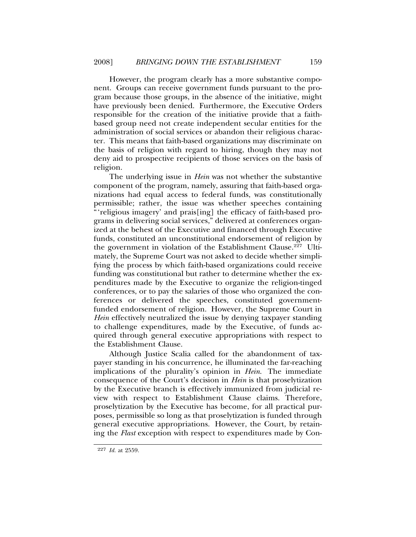However, the program clearly has a more substantive component. Groups can receive government funds pursuant to the program because those groups, in the absence of the initiative, might have previously been denied. Furthermore, the Executive Orders responsible for the creation of the initiative provide that a faithbased group need not create independent secular entities for the administration of social services or abandon their religious character. This means that faith-based organizations may discriminate on the basis of religion with regard to hiring, though they may not deny aid to prospective recipients of those services on the basis of religion.

The underlying issue in *Hein* was not whether the substantive component of the program, namely, assuring that faith-based organizations had equal access to federal funds, was constitutionally permissible; rather, the issue was whether speeches containing "'religious imagery' and prais[ing] the efficacy of faith-based programs in delivering social services," delivered at conferences organized at the behest of the Executive and financed through Executive funds, constituted an unconstitutional endorsement of religion by the government in violation of the Establishment Clause.<sup>227</sup> Ultimately, the Supreme Court was not asked to decide whether simplifying the process by which faith-based organizations could receive funding was constitutional but rather to determine whether the expenditures made by the Executive to organize the religion-tinged conferences, or to pay the salaries of those who organized the conferences or delivered the speeches, constituted governmentfunded endorsement of religion. However, the Supreme Court in *Hein* effectively neutralized the issue by denying taxpayer standing to challenge expenditures, made by the Executive, of funds acquired through general executive appropriations with respect to the Establishment Clause.

Although Justice Scalia called for the abandonment of taxpayer standing in his concurrence, he illuminated the far-reaching implications of the plurality's opinion in *Hein*. The immediate consequence of the Court's decision in *Hein* is that proselytization by the Executive branch is effectively immunized from judicial review with respect to Establishment Clause claims. Therefore, proselytization by the Executive has become, for all practical purposes, permissible so long as that proselytization is funded through general executive appropriations. However, the Court, by retaining the *Flast* exception with respect to expenditures made by Con-

<sup>227</sup> *Id.* at 2559.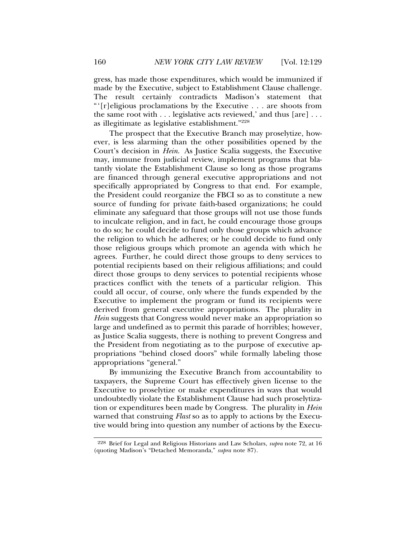gress, has made those expenditures, which would be immunized if made by the Executive, subject to Establishment Clause challenge. The result certainly contradicts Madison's statement that "'[r]eligious proclamations by the Executive . . . are shoots from the same root with . . . legislative acts reviewed,' and thus [are] . . . as illegitimate as legislative establishment."228

The prospect that the Executive Branch may proselytize, however, is less alarming than the other possibilities opened by the Court's decision in *Hein*. As Justice Scalia suggests, the Executive may, immune from judicial review, implement programs that blatantly violate the Establishment Clause so long as those programs are financed through general executive appropriations and not specifically appropriated by Congress to that end. For example, the President could reorganize the FBCI so as to constitute a new source of funding for private faith-based organizations; he could eliminate any safeguard that those groups will not use those funds to inculcate religion, and in fact, he could encourage those groups to do so; he could decide to fund only those groups which advance the religion to which he adheres; or he could decide to fund only those religious groups which promote an agenda with which he agrees. Further, he could direct those groups to deny services to potential recipients based on their religious affiliations; and could direct those groups to deny services to potential recipients whose practices conflict with the tenets of a particular religion. This could all occur, of course, only where the funds expended by the Executive to implement the program or fund its recipients were derived from general executive appropriations. The plurality in *Hein* suggests that Congress would never make an appropriation so large and undefined as to permit this parade of horribles; however, as Justice Scalia suggests, there is nothing to prevent Congress and the President from negotiating as to the purpose of executive appropriations "behind closed doors" while formally labeling those appropriations "general."

By immunizing the Executive Branch from accountability to taxpayers, the Supreme Court has effectively given license to the Executive to proselytize or make expenditures in ways that would undoubtedly violate the Establishment Clause had such proselytization or expenditures been made by Congress. The plurality in *Hein* warned that construing *Flast* so as to apply to actions by the Executive would bring into question any number of actions by the Execu-

<sup>228</sup> Brief for Legal and Religious Historians and Law Scholars, *supra* note 72, at 16 (quoting Madison's "Detached Memoranda," *supra* note 87).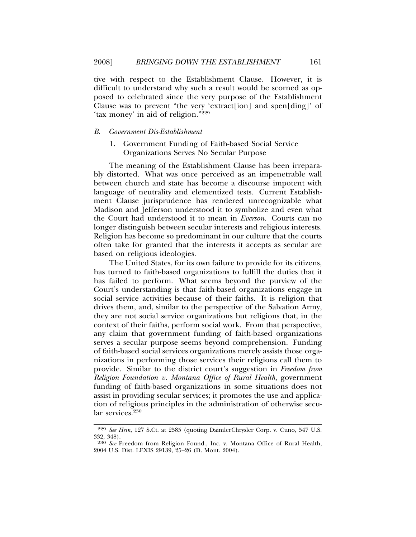tive with respect to the Establishment Clause. However, it is difficult to understand why such a result would be scorned as opposed to celebrated since the very purpose of the Establishment Clause was to prevent "the very 'extract[ion] and spen[ding]' of 'tax money' in aid of religion."229

### *B. Government Dis-Establishment*

1. Government Funding of Faith-based Social Service Organizations Serves No Secular Purpose

The meaning of the Establishment Clause has been irreparably distorted. What was once perceived as an impenetrable wall between church and state has become a discourse impotent with language of neutrality and elementized tests. Current Establishment Clause jurisprudence has rendered unrecognizable what Madison and Jefferson understood it to symbolize and even what the Court had understood it to mean in *Everson.* Courts can no longer distinguish between secular interests and religious interests. Religion has become so predominant in our culture that the courts often take for granted that the interests it accepts as secular are based on religious ideologies.

The United States, for its own failure to provide for its citizens, has turned to faith-based organizations to fulfill the duties that it has failed to perform. What seems beyond the purview of the Court's understanding is that faith-based organizations engage in social service activities because of their faiths. It is religion that drives them, and, similar to the perspective of the Salvation Army, they are not social service organizations but religions that, in the context of their faiths, perform social work. From that perspective, any claim that government funding of faith-based organizations serves a secular purpose seems beyond comprehension. Funding of faith-based social services organizations merely assists those organizations in performing those services their religions call them to provide. Similar to the district court's suggestion in *Freedom from Religion Foundation v. Montana Office of Rural Health*, government funding of faith-based organizations in some situations does not assist in providing secular services; it promotes the use and application of religious principles in the administration of otherwise secular services.<sup>230</sup>

<sup>229</sup> *See Hein*, 127 S.Ct. at 2585 (quoting DaimlerChrysler Corp. v. Cuno, 547 U.S. 332, 348).

<sup>230</sup> *See* Freedom from Religion Found., Inc. v. Montana Office of Rural Health, 2004 U.S. Dist. LEXIS 29139, 25–26 (D. Mont. 2004).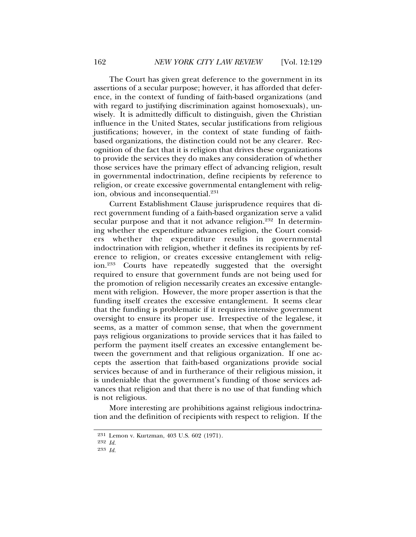The Court has given great deference to the government in its assertions of a secular purpose; however, it has afforded that deference, in the context of funding of faith-based organizations (and with regard to justifying discrimination against homosexuals), unwisely. It is admittedly difficult to distinguish, given the Christian influence in the United States, secular justifications from religious justifications; however, in the context of state funding of faithbased organizations, the distinction could not be any clearer. Recognition of the fact that it is religion that drives these organizations to provide the services they do makes any consideration of whether those services have the primary effect of advancing religion, result in governmental indoctrination, define recipients by reference to religion, or create excessive governmental entanglement with religion, obvious and inconsequential.<sup>231</sup>

Current Establishment Clause jurisprudence requires that direct government funding of a faith-based organization serve a valid secular purpose and that it not advance religion.<sup>232</sup> In determining whether the expenditure advances religion, the Court considers whether the expenditure results in governmental indoctrination with religion, whether it defines its recipients by reference to religion, or creates excessive entanglement with religion.233 Courts have repeatedly suggested that the oversight required to ensure that government funds are not being used for the promotion of religion necessarily creates an excessive entanglement with religion. However, the more proper assertion is that the funding itself creates the excessive entanglement. It seems clear that the funding is problematic if it requires intensive government oversight to ensure its proper use. Irrespective of the legalese, it seems, as a matter of common sense, that when the government pays religious organizations to provide services that it has failed to perform the payment itself creates an excessive entanglement between the government and that religious organization. If one accepts the assertion that faith-based organizations provide social services because of and in furtherance of their religious mission, it is undeniable that the government's funding of those services advances that religion and that there is no use of that funding which is not religious.

More interesting are prohibitions against religious indoctrination and the definition of recipients with respect to religion. If the

<sup>231</sup> Lemon v. Kurtzman, 403 U.S. 602 (1971).

<sup>232</sup> *Id.*

<sup>233</sup> *Id.*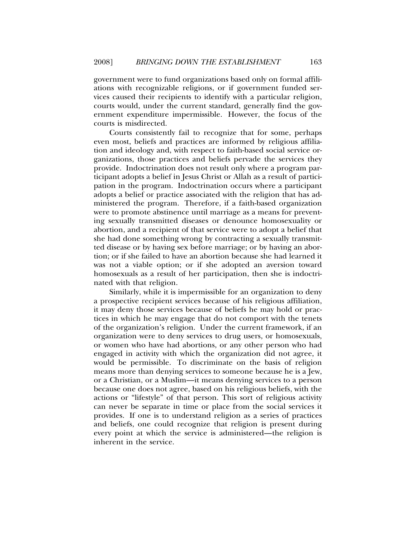government were to fund organizations based only on formal affiliations with recognizable religions, or if government funded services caused their recipients to identify with a particular religion, courts would, under the current standard, generally find the government expenditure impermissible. However, the focus of the courts is misdirected.

Courts consistently fail to recognize that for some, perhaps even most, beliefs and practices are informed by religious affiliation and ideology and, with respect to faith-based social service organizations, those practices and beliefs pervade the services they provide. Indoctrination does not result only where a program participant adopts a belief in Jesus Christ or Allah as a result of participation in the program. Indoctrination occurs where a participant adopts a belief or practice associated with the religion that has administered the program. Therefore, if a faith-based organization were to promote abstinence until marriage as a means for preventing sexually transmitted diseases or denounce homosexuality or abortion, and a recipient of that service were to adopt a belief that she had done something wrong by contracting a sexually transmitted disease or by having sex before marriage; or by having an abortion; or if she failed to have an abortion because she had learned it was not a viable option; or if she adopted an aversion toward homosexuals as a result of her participation, then she is indoctrinated with that religion.

Similarly, while it is impermissible for an organization to deny a prospective recipient services because of his religious affiliation, it may deny those services because of beliefs he may hold or practices in which he may engage that do not comport with the tenets of the organization's religion. Under the current framework, if an organization were to deny services to drug users, or homosexuals, or women who have had abortions, or any other person who had engaged in activity with which the organization did not agree, it would be permissible. To discriminate on the basis of religion means more than denying services to someone because he is a Jew, or a Christian, or a Muslim—it means denying services to a person because one does not agree, based on his religious beliefs, with the actions or "lifestyle" of that person. This sort of religious activity can never be separate in time or place from the social services it provides. If one is to understand religion as a series of practices and beliefs, one could recognize that religion is present during every point at which the service is administered—the religion is inherent in the service.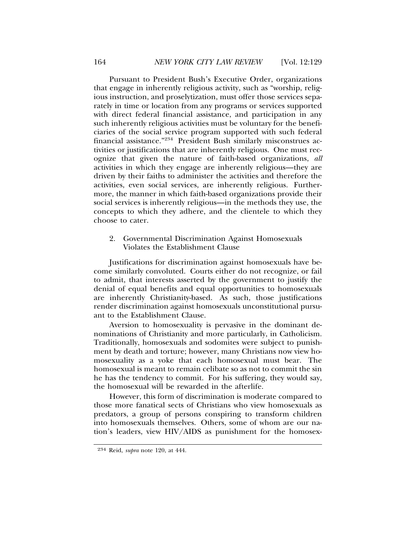Pursuant to President Bush's Executive Order, organizations that engage in inherently religious activity, such as "worship, religious instruction, and proselytization, must offer those services separately in time or location from any programs or services supported with direct federal financial assistance, and participation in any such inherently religious activities must be voluntary for the beneficiaries of the social service program supported with such federal financial assistance."234 President Bush similarly misconstrues activities or justifications that are inherently religious. One must recognize that given the nature of faith-based organizations, *all* activities in which they engage are inherently religious—they are driven by their faiths to administer the activities and therefore the activities, even social services, are inherently religious. Furthermore, the manner in which faith-based organizations provide their social services is inherently religious—in the methods they use, the concepts to which they adhere, and the clientele to which they choose to cater.

# 2. Governmental Discrimination Against Homosexuals Violates the Establishment Clause

Justifications for discrimination against homosexuals have become similarly convoluted. Courts either do not recognize, or fail to admit, that interests asserted by the government to justify the denial of equal benefits and equal opportunities to homosexuals are inherently Christianity-based. As such, those justifications render discrimination against homosexuals unconstitutional pursuant to the Establishment Clause.

Aversion to homosexuality is pervasive in the dominant denominations of Christianity and more particularly, in Catholicism. Traditionally, homosexuals and sodomites were subject to punishment by death and torture; however, many Christians now view homosexuality as a yoke that each homosexual must bear. The homosexual is meant to remain celibate so as not to commit the sin he has the tendency to commit. For his suffering, they would say, the homosexual will be rewarded in the afterlife.

However, this form of discrimination is moderate compared to those more fanatical sects of Christians who view homosexuals as predators, a group of persons conspiring to transform children into homosexuals themselves. Others, some of whom are our nation's leaders, view HIV/AIDS as punishment for the homosex-

<sup>234</sup> Reid, *supra* note 120, at 444.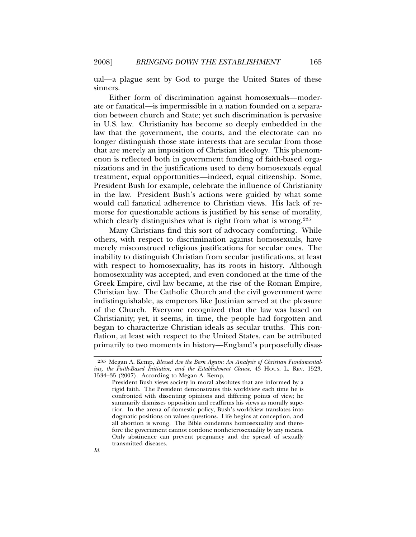ual—a plague sent by God to purge the United States of these sinners.

Either form of discrimination against homosexuals—moderate or fanatical—is impermissible in a nation founded on a separation between church and State; yet such discrimination is pervasive in U.S. law. Christianity has become so deeply embedded in the law that the government, the courts, and the electorate can no longer distinguish those state interests that are secular from those that are merely an imposition of Christian ideology. This phenomenon is reflected both in government funding of faith-based organizations and in the justifications used to deny homosexuals equal treatment, equal opportunities—indeed, equal citizenship. Some, President Bush for example, celebrate the influence of Christianity in the law. President Bush's actions were guided by what some would call fanatical adherence to Christian views. His lack of remorse for questionable actions is justified by his sense of morality, which clearly distinguishes what is right from what is wrong.<sup>235</sup>

Many Christians find this sort of advocacy comforting. While others, with respect to discrimination against homosexuals, have merely misconstrued religious justifications for secular ones. The inability to distinguish Christian from secular justifications, at least with respect to homosexuality, has its roots in history. Although homosexuality was accepted, and even condoned at the time of the Greek Empire, civil law became, at the rise of the Roman Empire, Christian law. The Catholic Church and the civil government were indistinguishable, as emperors like Justinian served at the pleasure of the Church. Everyone recognized that the law was based on Christianity; yet, it seems, in time, the people had forgotten and began to characterize Christian ideals as secular truths. This conflation, at least with respect to the United States, can be attributed primarily to two moments in history—England's purposefully disas-

<sup>235</sup> Megan A. Kemp, *Blessed Are the Born Again: An Analysis of Christian Fundamentalists, the Faith-Based Initiative, and the Establishment Clause*, 43 HOUS. L. REV. 1523, 1534–35 (2007). According to Megan A. Kemp,

President Bush views society in moral absolutes that are informed by a rigid faith. The President demonstrates this worldview each time he is confronted with dissenting opinions and differing points of view; he summarily dismisses opposition and reaffirms his views as morally superior. In the arena of domestic policy, Bush's worldview translates into dogmatic positions on values questions. Life begins at conception, and all abortion is wrong. The Bible condemns homosexuality and therefore the government cannot condone nonheterosexuality by any means. Only abstinence can prevent pregnancy and the spread of sexually transmitted diseases.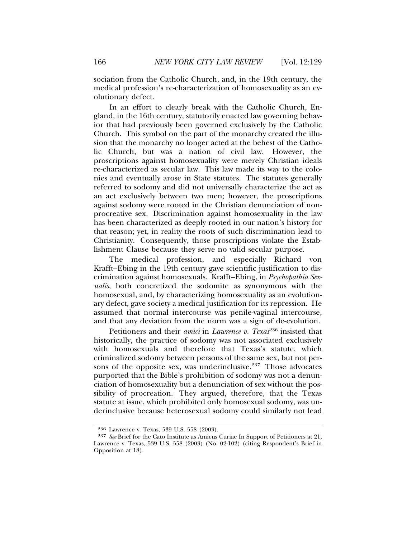sociation from the Catholic Church, and, in the 19th century, the medical profession's re-characterization of homosexuality as an evolutionary defect.

In an effort to clearly break with the Catholic Church, England, in the 16th century, statutorily enacted law governing behavior that had previously been governed exclusively by the Catholic Church. This symbol on the part of the monarchy created the illusion that the monarchy no longer acted at the behest of the Catholic Church, but was a nation of civil law. However, the proscriptions against homosexuality were merely Christian ideals re-characterized as secular law. This law made its way to the colonies and eventually arose in State statutes. The statutes generally referred to sodomy and did not universally characterize the act as an act exclusively between two men; however, the proscriptions against sodomy were rooted in the Christian denunciation of nonprocreative sex. Discrimination against homosexuality in the law has been characterized as deeply rooted in our nation's history for that reason; yet, in reality the roots of such discrimination lead to Christianity. Consequently, those proscriptions violate the Establishment Clause because they serve no valid secular purpose.

The medical profession, and especially Richard von Krafft–Ebing in the 19th century gave scientific justification to discrimination against homosexuals. Krafft–Ebing, in *Psychopathia Sexualis*, both concretized the sodomite as synonymous with the homosexual, and, by characterizing homosexuality as an evolutionary defect, gave society a medical justification for its repression. He assumed that normal intercourse was penile-vaginal intercourse, and that any deviation from the norm was a sign of de-evolution.

Petitioners and their *amici* in *Lawrence v. Texas*236 insisted that historically, the practice of sodomy was not associated exclusively with homosexuals and therefore that Texas's statute, which criminalized sodomy between persons of the same sex, but not persons of the opposite sex, was underinclusive. $237$  Those advocates purported that the Bible's prohibition of sodomy was not a denunciation of homosexuality but a denunciation of sex without the possibility of procreation. They argued, therefore, that the Texas statute at issue, which prohibited only homosexual sodomy, was underinclusive because heterosexual sodomy could similarly not lead

<sup>236</sup> Lawrence v. Texas, 539 U.S. 558 (2003).

<sup>237</sup> *See* Brief for the Cato Institute as Amicus Curiae In Support of Petitioners at 21, Lawrence v. Texas, 539 U.S. 558 (2003) (No. 02-102) (citing Respondent's Brief in Opposition at 18).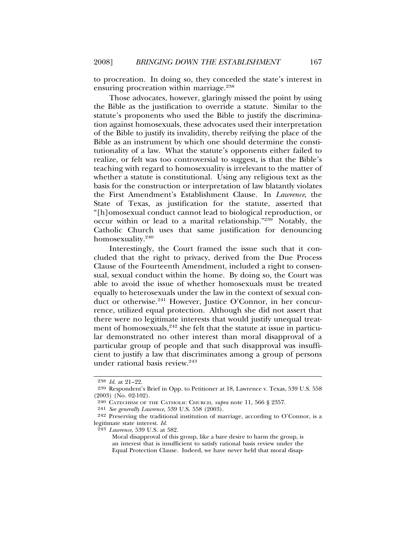to procreation. In doing so, they conceded the state's interest in ensuring procreation within marriage.<sup>238</sup>

Those advocates, however, glaringly missed the point by using the Bible as the justification to override a statute. Similar to the statute's proponents who used the Bible to justify the discrimination against homosexuals, these advocates used their interpretation of the Bible to justify its invalidity, thereby reifying the place of the Bible as an instrument by which one should determine the constitutionality of a law. What the statute's opponents either failed to realize, or felt was too controversial to suggest, is that the Bible's teaching with regard to homosexuality is irrelevant to the matter of whether a statute is constitutional. Using any religious text as the basis for the construction or interpretation of law blatantly violates the First Amendment's Establishment Clause. In *Lawrence*, the State of Texas, as justification for the statute, asserted that "[h]omosexual conduct cannot lead to biological reproduction, or occur within or lead to a marital relationship."239 Notably, the Catholic Church uses that same justification for denouncing homosexuality.<sup>240</sup>

Interestingly, the Court framed the issue such that it concluded that the right to privacy, derived from the Due Process Clause of the Fourteenth Amendment, included a right to consensual, sexual conduct within the home. By doing so, the Court was able to avoid the issue of whether homosexuals must be treated equally to heterosexuals under the law in the context of sexual conduct or otherwise.<sup>241</sup> However, Justice O'Connor, in her concurrence, utilized equal protection. Although she did not assert that there were no legitimate interests that would justify unequal treatment of homosexuals,  $242$  she felt that the statute at issue in particular demonstrated no other interest than moral disapproval of a particular group of people and that such disapproval was insufficient to justify a law that discriminates among a group of persons under rational basis review.243

<sup>238</sup> *Id.* at 21–22.

<sup>239</sup> Respondent's Brief in Opp. to Petitioner at 18, Lawrence v. Texas, 539 U.S. 558 (2003) (No. 02-102).

<sup>240</sup> CATECHISM OF THE CATHOLIC CHURCH, *supra* note 11, 566 § 2357.

<sup>241</sup> *See generally Lawrence*, 539 U.S. 558 (2003).

<sup>242</sup> Preserving the traditional institution of marriage, according to O'Connor, is a legitimate state interest. *Id.*

<sup>243</sup> *Lawrence*, 539 U.S. at 582.

Moral disapproval of this group, like a bare desire to harm the group, is an interest that is insufficient to satisfy rational basis review under the Equal Protection Clause. Indeed, we have never held that moral disap-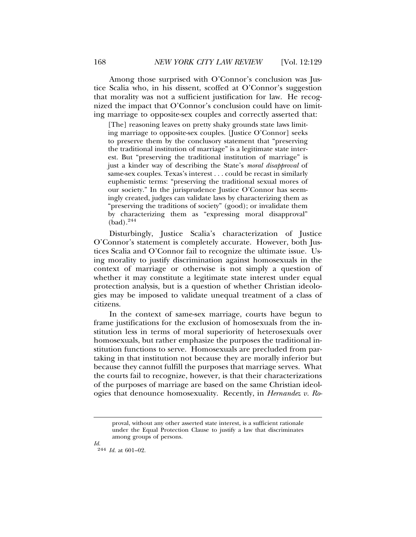Among those surprised with O'Connor's conclusion was Justice Scalia who, in his dissent, scoffed at O'Connor's suggestion that morality was not a sufficient justification for law. He recognized the impact that O'Connor's conclusion could have on limiting marriage to opposite-sex couples and correctly asserted that:

[The] reasoning leaves on pretty shaky grounds state laws limiting marriage to opposite-sex couples. [Justice O'Connor] seeks to preserve them by the conclusory statement that "preserving the traditional institution of marriage" is a legitimate state interest. But "preserving the traditional institution of marriage" is just a kinder way of describing the State's *moral disapproval* of same-sex couples. Texas's interest . . . could be recast in similarly euphemistic terms: "preserving the traditional sexual mores of our society." In the jurisprudence Justice O'Connor has seemingly created, judges can validate laws by characterizing them as "preserving the traditions of society" (good); or invalidate them by characterizing them as "expressing moral disapproval" (bad).<sup>244</sup>

Disturbingly, Justice Scalia's characterization of Justice O'Connor's statement is completely accurate. However, both Justices Scalia and O'Connor fail to recognize the ultimate issue. Using morality to justify discrimination against homosexuals in the context of marriage or otherwise is not simply a question of whether it may constitute a legitimate state interest under equal protection analysis, but is a question of whether Christian ideologies may be imposed to validate unequal treatment of a class of citizens.

In the context of same-sex marriage, courts have begun to frame justifications for the exclusion of homosexuals from the institution less in terms of moral superiority of heterosexuals over homosexuals, but rather emphasize the purposes the traditional institution functions to serve. Homosexuals are precluded from partaking in that institution not because they are morally inferior but because they cannot fulfill the purposes that marriage serves. What the courts fail to recognize, however, is that their characterizations of the purposes of marriage are based on the same Christian ideologies that denounce homosexuality. Recently, in *Hernandez v. Ro-*

*Id.* 244 *Id.* at 601–02.

proval, without any other asserted state interest, is a sufficient rationale under the Equal Protection Clause to justify a law that discriminates among groups of persons.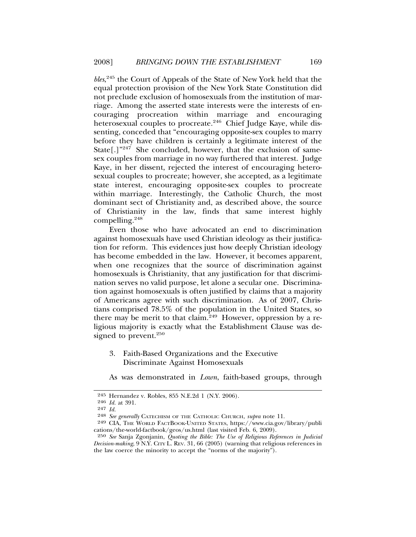*bles*, 245 the Court of Appeals of the State of New York held that the equal protection provision of the New York State Constitution did not preclude exclusion of homosexuals from the institution of marriage. Among the asserted state interests were the interests of encouraging procreation within marriage and encouraging heterosexual couples to procreate.<sup>246</sup> Chief Judge Kaye, while dissenting, conceded that "encouraging opposite-sex couples to marry before they have children is certainly a legitimate interest of the State<sup>[.]"247</sup> She concluded, however, that the exclusion of samesex couples from marriage in no way furthered that interest. Judge Kaye, in her dissent, rejected the interest of encouraging heterosexual couples to procreate; however, she accepted, as a legitimate state interest, encouraging opposite-sex couples to procreate within marriage. Interestingly, the Catholic Church, the most dominant sect of Christianity and, as described above, the source of Christianity in the law, finds that same interest highly compelling.<sup>248</sup>

Even those who have advocated an end to discrimination against homosexuals have used Christian ideology as their justification for reform. This evidences just how deeply Christian ideology has become embedded in the law. However, it becomes apparent, when one recognizes that the source of discrimination against homosexuals is Christianity, that any justification for that discrimination serves no valid purpose, let alone a secular one. Discrimination against homosexuals is often justified by claims that a majority of Americans agree with such discrimination. As of 2007, Christians comprised 78.5% of the population in the United States, so there may be merit to that claim.<sup>249</sup> However, oppression by a religious majority is exactly what the Establishment Clause was designed to prevent.<sup>250</sup>

# 3. Faith-Based Organizations and the Executive Discriminate Against Homosexuals

As was demonstrated in *Lown*, faith-based groups, through

<sup>245</sup> Hernandez v. Robles, 855 N.E.2d 1 (N.Y. 2006).

<sup>246</sup> *Id.* at 391.

<sup>247</sup> *Id.*

<sup>248</sup> *See generally* CATECHISM OF THE CATHOLIC CHURCH, *supra* note 11.

<sup>249</sup> CIA, THE WORLD FACTBOOK-UNITED STATES, https://www.cia.gov/library/publi cations/the-world-factbook/geos/us.html (last visited Feb. 6, 2009).

<sup>250</sup> *See* Sanja Zgonjanin, *Quoting the Bible: The Use of Religious References in Judicial Decision-making*, 9 N.Y. CITY L. REV. 31, 66 (2005) (warning that religious references in the law coerce the minority to accept the "norms of the majority").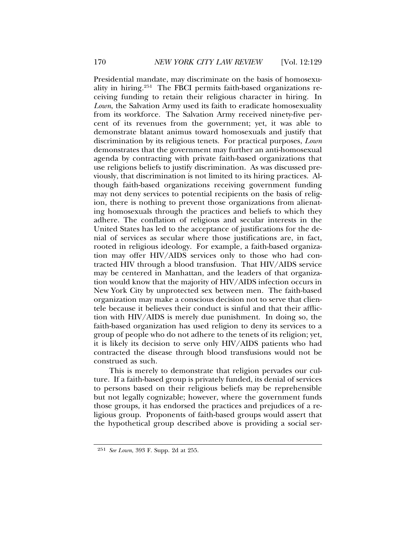Presidential mandate, may discriminate on the basis of homosexuality in hiring.251 The FBCI permits faith-based organizations receiving funding to retain their religious character in hiring. In *Lown*, the Salvation Army used its faith to eradicate homosexuality from its workforce. The Salvation Army received ninety-five percent of its revenues from the government; yet, it was able to demonstrate blatant animus toward homosexuals and justify that discrimination by its religious tenets. For practical purposes, *Lown* demonstrates that the government may further an anti-homosexual agenda by contracting with private faith-based organizations that use religions beliefs to justify discrimination. As was discussed previously, that discrimination is not limited to its hiring practices. Although faith-based organizations receiving government funding may not deny services to potential recipients on the basis of religion, there is nothing to prevent those organizations from alienating homosexuals through the practices and beliefs to which they adhere. The conflation of religious and secular interests in the United States has led to the acceptance of justifications for the denial of services as secular where those justifications are, in fact, rooted in religious ideology. For example, a faith-based organization may offer HIV/AIDS services only to those who had contracted HIV through a blood transfusion. That HIV/AIDS service may be centered in Manhattan, and the leaders of that organization would know that the majority of HIV/AIDS infection occurs in New York City by unprotected sex between men. The faith-based organization may make a conscious decision not to serve that clientele because it believes their conduct is sinful and that their affliction with HIV/AIDS is merely due punishment. In doing so, the faith-based organization has used religion to deny its services to a group of people who do not adhere to the tenets of its religion; yet, it is likely its decision to serve only HIV/AIDS patients who had contracted the disease through blood transfusions would not be construed as such.

This is merely to demonstrate that religion pervades our culture. If a faith-based group is privately funded, its denial of services to persons based on their religious beliefs may be reprehensible but not legally cognizable; however, where the government funds those groups, it has endorsed the practices and prejudices of a religious group. Proponents of faith-based groups would assert that the hypothetical group described above is providing a social ser-

<sup>251</sup> *See Lown*, 393 F. Supp. 2d at 255.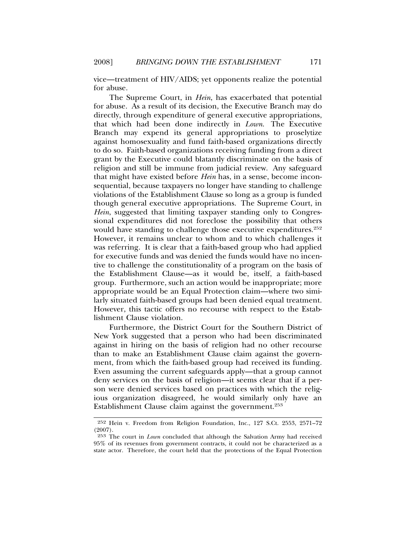vice—treatment of HIV/AIDS; yet opponents realize the potential for abuse.

The Supreme Court, in *Hein*, has exacerbated that potential for abuse. As a result of its decision, the Executive Branch may do directly, through expenditure of general executive appropriations, that which had been done indirectly in *Lown*. The Executive Branch may expend its general appropriations to proselytize against homosexuality and fund faith-based organizations directly to do so. Faith-based organizations receiving funding from a direct grant by the Executive could blatantly discriminate on the basis of religion and still be immune from judicial review. Any safeguard that might have existed before *Hein* has, in a sense, become inconsequential, because taxpayers no longer have standing to challenge violations of the Establishment Clause so long as a group is funded though general executive appropriations. The Supreme Court, in *Hein*, suggested that limiting taxpayer standing only to Congressional expenditures did not foreclose the possibility that others would have standing to challenge those executive expenditures.<sup>252</sup> However, it remains unclear to whom and to which challenges it was referring. It is clear that a faith-based group who had applied for executive funds and was denied the funds would have no incentive to challenge the constitutionality of a program on the basis of the Establishment Clause—as it would be, itself, a faith-based group. Furthermore, such an action would be inappropriate; more appropriate would be an Equal Protection claim—where two similarly situated faith-based groups had been denied equal treatment. However, this tactic offers no recourse with respect to the Establishment Clause violation.

Furthermore, the District Court for the Southern District of New York suggested that a person who had been discriminated against in hiring on the basis of religion had no other recourse than to make an Establishment Clause claim against the government, from which the faith-based group had received its funding. Even assuming the current safeguards apply—that a group cannot deny services on the basis of religion—it seems clear that if a person were denied services based on practices with which the religious organization disagreed, he would similarly only have an Establishment Clause claim against the government.<sup>253</sup>

<sup>252</sup> Hein v. Freedom from Religion Foundation, Inc., 127 S.Ct. 2553, 2571–72 (2007).

<sup>253</sup> The court in *Lown* concluded that although the Salvation Army had received 95% of its revenues from government contracts, it could not be characterized as a state actor. Therefore, the court held that the protections of the Equal Protection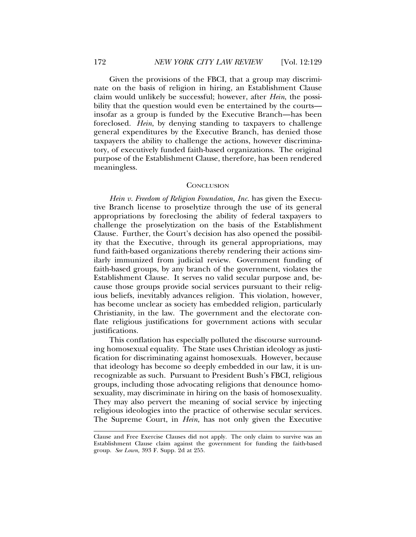Given the provisions of the FBCI, that a group may discriminate on the basis of religion in hiring, an Establishment Clause claim would unlikely be successful; however, after *Hein*, the possibility that the question would even be entertained by the courts insofar as a group is funded by the Executive Branch—has been foreclosed. *Hein*, by denying standing to taxpayers to challenge general expenditures by the Executive Branch, has denied those taxpayers the ability to challenge the actions, however discriminatory, of executively funded faith-based organizations. The original purpose of the Establishment Clause, therefore, has been rendered meaningless.

#### **CONCLUSION**

*Hein v. Freedom of Religion Foundation, Inc.* has given the Executive Branch license to proselytize through the use of its general appropriations by foreclosing the ability of federal taxpayers to challenge the proselytization on the basis of the Establishment Clause. Further, the Court's decision has also opened the possibility that the Executive, through its general appropriations, may fund faith-based organizations thereby rendering their actions similarly immunized from judicial review. Government funding of faith-based groups, by any branch of the government, violates the Establishment Clause. It serves no valid secular purpose and, because those groups provide social services pursuant to their religious beliefs, inevitably advances religion. This violation, however, has become unclear as society has embedded religion, particularly Christianity, in the law. The government and the electorate conflate religious justifications for government actions with secular justifications.

This conflation has especially polluted the discourse surrounding homosexual equality. The State uses Christian ideology as justification for discriminating against homosexuals. However, because that ideology has become so deeply embedded in our law, it is unrecognizable as such. Pursuant to President Bush's FBCI, religious groups, including those advocating religions that denounce homosexuality, may discriminate in hiring on the basis of homosexuality. They may also pervert the meaning of social service by injecting religious ideologies into the practice of otherwise secular services. The Supreme Court, in *Hein*, has not only given the Executive

Clause and Free Exercise Clauses did not apply. The only claim to survive was an Establishment Clause claim against the government for funding the faith-based group. *See Lown,* 393 F. Supp. 2d at 255.